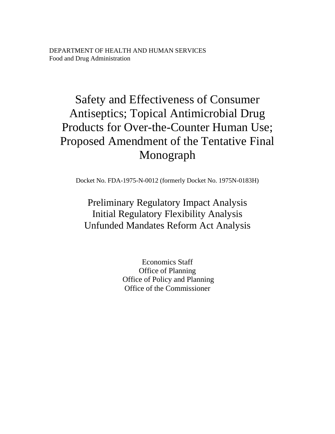# Safety and Effectiveness of Consumer Antiseptics; Topical Antimicrobial Drug Products for Over-the-Counter Human Use; Proposed Amendment of the Tentative Final Monograph

Docket No. FDA-1975-N-0012 (formerly Docket No. 1975N-0183H)

## Preliminary Regulatory Impact Analysis Initial Regulatory Flexibility Analysis Unfunded Mandates Reform Act Analysis

Economics Staff Office of Planning Office of Policy and Planning Office of the Commissioner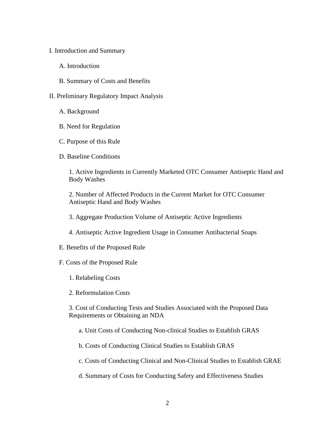- I. Introduction and Summary
	- A. Introduction
	- B. Summary of Costs and Benefits
- II. Preliminary Regulatory Impact Analysis
	- A. Background
	- B. Need for Regulation
	- C. Purpose of this Rule
	- D. Baseline Conditions

1. Active Ingredients in Currently Marketed OTC Consumer Antiseptic Hand and Body Washes

2. Number of Affected Products in the Current Market for OTC Consumer Antiseptic Hand and Body Washes

- 3. Aggregate Production Volume of Antiseptic Active Ingredients
- 4. Antiseptic Active Ingredient Usage in Consumer Antibacterial Soaps
- E. Benefits of the Proposed Rule
- F. Costs of the Proposed Rule
	- 1. Relabeling Costs
	- 2. Reformulation Costs

3. Cost of Conducting Tests and Studies Associated with the Proposed Data Requirements or Obtaining an NDA

- a. Unit Costs of Conducting Non-clinical Studies to Establish GRAS
- b. Costs of Conducting Clinical Studies to Establish GRAS
- c. Costs of Conducting Clinical and Non-Clinical Studies to Establish GRAE
- d. Summary of Costs for Conducting Safety and Effectiveness Studies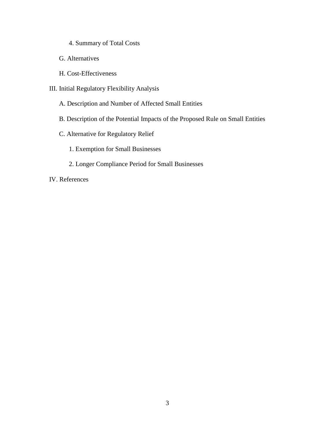- 4. Summary of Total Costs
- G. Alternatives
- H. Cost-Effectiveness
- III. Initial Regulatory Flexibility Analysis
	- A. Description and Number of Affected Small Entities
	- B. Description of the Potential Impacts of the Proposed Rule on Small Entities
	- C. Alternative for Regulatory Relief
		- 1. Exemption for Small Businesses
		- 2. Longer Compliance Period for Small Businesses

IV. References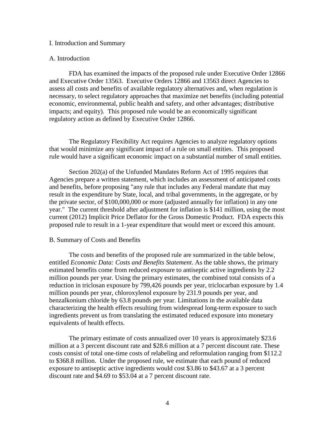#### I. Introduction and Summary

## A. Introduction

FDA has examined the impacts of the proposed rule under Executive Order 12866 and Executive Order 13563. Executive Orders 12866 and 13563 direct Agencies to assess all costs and benefits of available regulatory alternatives and, when regulation is necessary, to select regulatory approaches that maximize net benefits (including potential economic, environmental, public health and safety, and other advantages; distributive impacts; and equity). This proposed rule would be an economically significant regulatory action as defined by Executive Order 12866.

The Regulatory Flexibility Act requires Agencies to analyze regulatory options that would minimize any significant impact of a rule on small entities. This proposed rule would have a significant economic impact on a substantial number of small entities.

Section 202(a) of the Unfunded Mandates Reform Act of 1995 requires that Agencies prepare a written statement, which includes an assessment of anticipated costs and benefits, before proposing "any rule that includes any Federal mandate that may result in the expenditure by State, local, and tribal governments, in the aggregate, or by the private sector, of \$100,000,000 or more (adjusted annually for inflation) in any one year." The current threshold after adjustment for inflation is \$141 million, using the most current (2012) Implicit Price Deflator for the Gross Domestic Product. FDA expects this proposed rule to result in a 1-year expenditure that would meet or exceed this amount.

#### B. Summary of Costs and Benefits

The costs and benefits of the proposed rule are summarized in the table below, entitled *Economic Data: Costs and Benefits Statement*. As the table shows, the primary estimated benefits come from reduced exposure to antiseptic active ingredients by 2.2 million pounds per year. Using the primary estimates, the combined total consists of a reduction in triclosan exposure by 799,426 pounds per year, triclocarban exposure by 1.4 million pounds per year, chloroxylenol exposure by 231.9 pounds per year, and benzalkonium chloride by 63.8 pounds per year. Limitations in the available data characterizing the health effects resulting from widespread long-term exposure to such ingredients prevent us from translating the estimated reduced exposure into monetary equivalents of health effects.

The primary estimate of costs annualized over 10 years is approximately \$23.6 million at a 3 percent discount rate and \$28.6 million at a 7 percent discount rate. These costs consist of total one-time costs of relabeling and reformulation ranging from \$112.2 to \$368.8 million. Under the proposed rule, we estimate that each pound of reduced exposure to antiseptic active ingredients would cost \$3.86 to \$43.67 at a 3 percent discount rate and \$4.69 to \$53.04 at a 7 percent discount rate.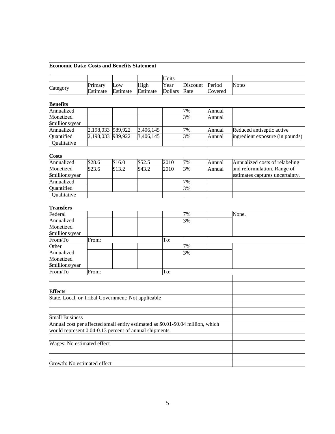| <b>Economic Data: Costs and Benefits Statement</b>                              |           |                    |           |                |          |         |                                 |
|---------------------------------------------------------------------------------|-----------|--------------------|-----------|----------------|----------|---------|---------------------------------|
|                                                                                 |           |                    |           | Units          |          |         |                                 |
|                                                                                 | Primary   | Low                | High      | Year           | Discount | Period  | <b>Notes</b>                    |
| Category                                                                        | Estimate  | Estimate           | Estimate  | <b>Dollars</b> | Rate     | Covered |                                 |
| <b>Benefits</b>                                                                 |           |                    |           |                |          |         |                                 |
| Annualized                                                                      |           |                    |           |                | 7%       | Annual  |                                 |
| Monetized                                                                       |           |                    |           |                | 3%       | Annual  |                                 |
| \$millions/year                                                                 |           |                    |           |                |          |         |                                 |
| Annualized                                                                      | 2,198,033 | 989,922            | 3,406,145 |                | 7%       | Annual  | Reduced antiseptic active       |
| Quantified                                                                      | 2,198,033 | 989,922            | 3,406,145 |                | 3%       | Annual  | ingredient exposure (in pounds) |
| Qualitative                                                                     |           |                    |           |                |          |         |                                 |
| <b>Costs</b>                                                                    |           |                    |           |                |          |         |                                 |
| Annualized                                                                      | \$28.6    | $\overline{$}16.0$ | \$52.5    | 2010           | 7%       | Annual  | Annualized costs of relabeling  |
| Monetized                                                                       | \$23.6    | \$13.2             | \$43.2    | 2010           | 3%       | Annual  | and reformulation. Range of     |
| \$millions/year                                                                 |           |                    |           |                |          |         | estimates captures uncertainty. |
| Annualized                                                                      |           |                    |           |                | 7%       |         |                                 |
| Quantified                                                                      |           |                    |           |                | 3%       |         |                                 |
| Qualitative                                                                     |           |                    |           |                |          |         |                                 |
| <b>Transfers</b>                                                                |           |                    |           |                |          |         |                                 |
| Federal                                                                         |           |                    |           |                | 7%       |         | None.                           |
| Annualized                                                                      |           |                    |           |                | 3%       |         |                                 |
| Monetized                                                                       |           |                    |           |                |          |         |                                 |
| \$millions/year                                                                 |           |                    |           |                |          |         |                                 |
| From/To                                                                         | From:     |                    |           | To:            |          |         |                                 |
| Other                                                                           |           |                    |           |                | 7%       |         |                                 |
| Annualized                                                                      |           |                    |           |                | 3%       |         |                                 |
| Monetized                                                                       |           |                    |           |                |          |         |                                 |
| \$millions/year                                                                 |           |                    |           |                |          |         |                                 |
| From/To                                                                         | From:     |                    |           | To:            |          |         |                                 |
|                                                                                 |           |                    |           |                |          |         |                                 |
| <b>Effects</b>                                                                  |           |                    |           |                |          |         |                                 |
| State, Local, or Tribal Government: Not applicable                              |           |                    |           |                |          |         |                                 |
|                                                                                 |           |                    |           |                |          |         |                                 |
|                                                                                 |           |                    |           |                |          |         |                                 |
| <b>Small Business</b>                                                           |           |                    |           |                |          |         |                                 |
| Annual cost per affected small entity estimated as \$0.01-\$0.04 million, which |           |                    |           |                |          |         |                                 |
| would represent 0.04-0.13 percent of annual shipments.                          |           |                    |           |                |          |         |                                 |
|                                                                                 |           |                    |           |                |          |         |                                 |
| Wages: No estimated effect                                                      |           |                    |           |                |          |         |                                 |
|                                                                                 |           |                    |           |                |          |         |                                 |
|                                                                                 |           |                    |           |                |          |         |                                 |
| Growth: No estimated effect                                                     |           |                    |           |                |          |         |                                 |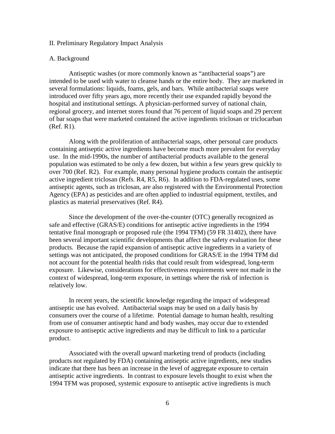#### II. Preliminary Regulatory Impact Analysis

## A. Background

Antiseptic washes (or more commonly known as "antibacterial soaps") are intended to be used with water to cleanse hands or the entire body. They are marketed in several formulations: liquids, foams, gels, and bars. While antibacterial soaps were introduced over fifty years ago, more recently their use expanded rapidly beyond the hospital and institutional settings. A physician-performed survey of national chain, regional grocery, and internet stores found that 76 percent of liquid soaps and 29 percent of bar soaps that were marketed contained the active ingredients triclosan or triclocarban (Ref. R1).

Along with the proliferation of antibacterial soaps, other personal care products containing antiseptic active ingredients have become much more prevalent for everyday use. In the mid-1990s, the number of antibacterial products available to the general population was estimated to be only a few dozen, but within a few years grew quickly to over 700 (Ref. R2). For example, many personal hygiene products contain the antiseptic active ingredient triclosan (Refs. R4, R5, R6). In addition to FDA-regulated uses, some antiseptic agents, such as triclosan, are also registered with the Environmental Protection Agency (EPA) as pesticides and are often applied to industrial equipment, textiles, and plastics as material preservatives (Ref. R4).

Since the development of the over-the-counter (OTC) generally recognized as safe and effective (GRAS/E) conditions for antiseptic active ingredients in the 1994 tentative final monograph or proposed rule (the 1994 TFM) (59 FR 31402), there have been several important scientific developments that affect the safety evaluation for these products. Because the rapid expansion of antiseptic active ingredients in a variety of settings was not anticipated, the proposed conditions for GRAS/E in the 1994 TFM did not account for the potential health risks that could result from widespread, long-term exposure. Likewise, considerations for effectiveness requirements were not made in the context of widespread, long-term exposure, in settings where the risk of infection is relatively low.

In recent years, the scientific knowledge regarding the impact of widespread antiseptic use has evolved. Antibacterial soaps may be used on a daily basis by consumers over the course of a lifetime. Potential damage to human health, resulting from use of consumer antiseptic hand and body washes, may occur due to extended exposure to antiseptic active ingredients and may be difficult to link to a particular product.

Associated with the overall upward marketing trend of products (including products not regulated by FDA) containing antiseptic active ingredients, new studies indicate that there has been an increase in the level of aggregate exposure to certain antiseptic active ingredients. In contrast to exposure levels thought to exist when the 1994 TFM was proposed, systemic exposure to antiseptic active ingredients is much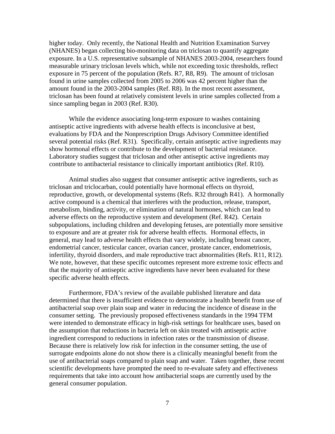higher today. Only recently, the National Health and Nutrition Examination Survey (NHANES) began collecting bio-monitoring data on triclosan to quantify aggregate exposure. In a U.S. representative subsample of NHANES 2003-2004, researchers found measurable urinary triclosan levels which, while not exceeding toxic thresholds, reflect exposure in 75 percent of the population (Refs. R7, R8, R9). The amount of triclosan found in urine samples collected from 2005 to 2006 was 42 percent higher than the amount found in the 2003-2004 samples (Ref. R8). In the most recent assessment, triclosan has been found at relatively consistent levels in urine samples collected from a since sampling began in 2003 (Ref. R30).

While the evidence associating long-term exposure to washes containing antiseptic active ingredients with adverse health effects is inconclusive at best, evaluations by FDA and the Nonprescription Drugs Advisory Committee identified several potential risks (Ref. R31). Specifically, certain antiseptic active ingredients may show hormonal effects or contribute to the development of bacterial resistance. Laboratory studies suggest that triclosan and other antiseptic active ingredients may contribute to antibacterial resistance to clinically important antibiotics (Ref. R10).

Animal studies also suggest that consumer antiseptic active ingredients, such as triclosan and triclocarban, could potentially have hormonal effects on thyroid, reproductive, growth, or developmental systems (Refs. R32 through R41). A hormonally active compound is a chemical that interferes with the production, release, transport, metabolism, binding, activity, or elimination of natural hormones, which can lead to adverse effects on the reproductive system and development (Ref. R42). Certain subpopulations, including children and developing fetuses, are potentially more sensitive to exposure and are at greater risk for adverse health effects. Hormonal effects, in general, may lead to adverse health effects that vary widely, including breast cancer, endometrial cancer, testicular cancer, ovarian cancer, prostate cancer, endometriosis, infertility, thyroid disorders, and male reproductive tract abnormalities (Refs. R11, R12). We note, however, that these specific outcomes represent more extreme toxic effects and that the majority of antiseptic active ingredients have never been evaluated for these specific adverse health effects.

Furthermore, FDA's review of the available published literature and data determined that there is insufficient evidence to demonstrate a health benefit from use of antibacterial soap over plain soap and water in reducing the incidence of disease in the consumer setting. The previously proposed effectiveness standards in the 1994 TFM were intended to demonstrate efficacy in high-risk settings for healthcare uses, based on the assumption that reductions in bacteria left on skin treated with antiseptic active ingredient correspond to reductions in infection rates or the transmission of disease. Because there is relatively low risk for infection in the consumer setting, the use of surrogate endpoints alone do not show there is a clinically meaningful benefit from the use of antibacterial soaps compared to plain soap and water. Taken together, these recent scientific developments have prompted the need to re-evaluate safety and effectiveness requirements that take into account how antibacterial soaps are currently used by the general consumer population.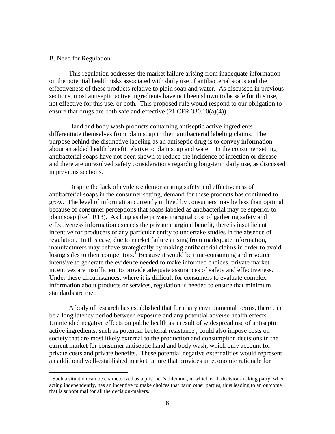## B. Need for Regulation

This regulation addresses the market failure arising from inadequate information on the potential health risks associated with daily use of antibacterial soaps and the effectiveness of these products relative to plain soap and water. As discussed in previous sections, most antiseptic active ingredients have not been shown to be safe for this use, not effective for this use, or both. This proposed rule would respond to our obligation to ensure that drugs are both safe and effective (21 CFR 330.10(a)(4)).

Hand and body wash products containing antiseptic active ingredients differentiate themselves from plain soap in their antibacterial labeling claims. The purpose behind the distinctive labeling as an antiseptic drug is to convey information about an added health benefit relative to plain soap and water. In the consumer setting antibacterial soaps have not been shown to reduce the incidence of infection or disease and there are unresolved safety considerations regarding long-term daily use, as discussed in previous sections.

Despite the lack of evidence demonstrating safety and effectiveness of antibacterial soaps in the consumer setting, demand for these products has continued to grow. The level of information currently utilized by consumers may be less than optimal because of consumer perceptions that soaps labeled as antibacterial may be superior to plain soap (Ref. R13). As long as the private marginal cost of gathering safety and effectiveness information exceeds the private marginal benefit, there is insufficient incentive for producers or any particular entity to undertake studies in the absence of regulation. In this case, due to market failure arising from inadequate information, manufacturers may behave strategically by making antibacterial claims in order to avoid losing sales to their competitors.<sup>[1](#page-7-0)</sup> Because it would be time-consuming and resource intensive to generate the evidence needed to make informed choices, private market incentives are insufficient to provide adequate assurances of safety and effectiveness. Under these circumstances, where it is difficult for consumers to evaluate complex information about products or services, regulation is needed to ensure that minimum standards are met.

A body of research has established that for many environmental toxins, there can be a long latency period between exposure and any potential adverse health effects. Unintended negative effects on public health as a result of widespread use of antiseptic active ingredients, such as potential bacterial resistance , could also impose costs on society that are most likely external to the production and consumption decisions in the current market for consumer antiseptic hand and body wash, which only account for private costs and private benefits. These potential negative externalities would represent an additional well-established market failure that provides an economic rationale for

<span id="page-7-0"></span><sup>&</sup>lt;sup>1</sup> Such a situation can be characterized as a prisoner's dilemma, in which each decision-making party, when acting independently, has an incentive to make choices that harm other parties, thus leading to an outcome that is suboptimal for all the decision-makers.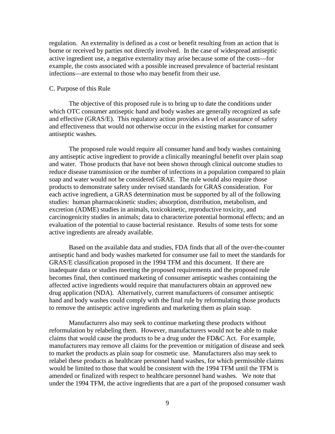regulation. An externality is defined as a cost or benefit resulting from an action that is borne or received by parties not directly involved. In the case of widespread antiseptic active ingredient use, a negative externality may arise because some of the costs—for example, the costs associated with a possible increased prevalence of bacterial resistant infections—are external to those who may benefit from their use.

## C. Purpose of this Rule

The objective of this proposed rule is to bring up to date the conditions under which OTC consumer antiseptic hand and body washes are generally recognized as safe and effective (GRAS/E). This regulatory action provides a level of assurance of safety and effectiveness that would not otherwise occur in the existing market for consumer antiseptic washes.

The proposed rule would require all consumer hand and body washes containing any antiseptic active ingredient to provide a clinically meaningful benefit over plain soap and water. Those products that have not been shown through clinical outcome studies to reduce disease transmission or the number of infections in a population compared to plain soap and water would not be considered GRAE. The rule would also require those products to demonstrate safety under revised standards for GRAS consideration. For each active ingredient, a GRAS determination must be supported by all of the following studies: human pharmacokinetic studies; absorption, distribution, metabolism, and excretion (ADME) studies in animals, toxicokinetic, reproductive toxicity, and carcinogenicity studies in animals; data to characterize potential hormonal effects; and an evaluation of the potential to cause bacterial resistance. Results of some tests for some active ingredients are already available.

Based on the available data and studies, FDA finds that all of the over-the-counter antiseptic hand and body washes marketed for consumer use fail to meet the standards for GRAS/E classification proposed in the 1994 TFM and this document. If there are inadequate data or studies meeting the proposed requirements and the proposed rule becomes final, then continued marketing of consumer antiseptic washes containing the affected active ingredients would require that manufacturers obtain an approved new drug application (NDA). Alternatively, current manufacturers of consumer antiseptic hand and body washes could comply with the final rule by reformulating those products to remove the antiseptic active ingredients and marketing them as plain soap.

Manufacturers also may seek to continue marketing these products without reformulation by relabeling them. However, manufacturers would not be able to make claims that would cause the products to be a drug under the FD&C Act. For example, manufacturers may remove all claims for the prevention or mitigation of disease and seek to market the products as plain soap for cosmetic use. Manufacturers also may seek to relabel these products as healthcare personnel hand washes, for which permissible claims would be limited to those that would be consistent with the 1994 TFM until the TFM is amended or finalized with respect to healthcare personnel hand washes. We note that under the 1994 TFM, the active ingredients that are a part of the proposed consumer wash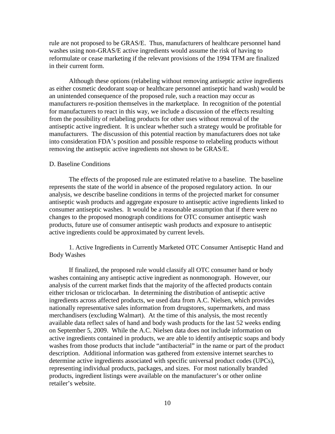rule are not proposed to be GRAS/E. Thus, manufacturers of healthcare personnel hand washes using non-GRAS/E active ingredients would assume the risk of having to reformulate or cease marketing if the relevant provisions of the 1994 TFM are finalized in their current form.

Although these options (relabeling without removing antiseptic active ingredients as either cosmetic deodorant soap or healthcare personnel antiseptic hand wash) would be an unintended consequence of the proposed rule, such a reaction may occur as manufacturers re-position themselves in the marketplace. In recognition of the potential for manufacturers to react in this way, we include a discussion of the effects resulting from the possibility of relabeling products for other uses without removal of the antiseptic active ingredient. It is unclear whether such a strategy would be profitable for manufacturers. The discussion of this potential reaction by manufacturers does not take into consideration FDA's position and possible response to relabeling products without removing the antiseptic active ingredients not shown to be GRAS/E.

#### D. Baseline Conditions

The effects of the proposed rule are estimated relative to a baseline. The baseline represents the state of the world in absence of the proposed regulatory action. In our analysis, we describe baseline conditions in terms of the projected market for consumer antiseptic wash products and aggregate exposure to antiseptic active ingredients linked to consumer antiseptic washes. It would be a reasonable assumption that if there were no changes to the proposed monograph conditions for OTC consumer antiseptic wash products, future use of consumer antiseptic wash products and exposure to antiseptic active ingredients could be approximated by current levels.

1. Active Ingredients in Currently Marketed OTC Consumer Antiseptic Hand and Body Washes

If finalized, the proposed rule would classify all OTC consumer hand or body washes containing any antiseptic active ingredient as nonmonograph. However, our analysis of the current market finds that the majority of the affected products contain either triclosan or triclocarban. In determining the distribution of antiseptic active ingredients across affected products, we used data from A.C. Nielsen, which provides nationally representative sales information from drugstores, supermarkets, and mass merchandisers (excluding Walmart). At the time of this analysis, the most recently available data reflect sales of hand and body wash products for the last 52 weeks ending on September 5, 2009. While the A.C. Nielsen data does not include information on active ingredients contained in products, we are able to identify antiseptic soaps and body washes from those products that include "antibacterial" in the name or part of the product description. Additional information was gathered from extensive internet searches to determine active ingredients associated with specific universal product codes (UPCs), representing individual products, packages, and sizes. For most nationally branded products, ingredient listings were available on the manufacturer's or other online retailer's website.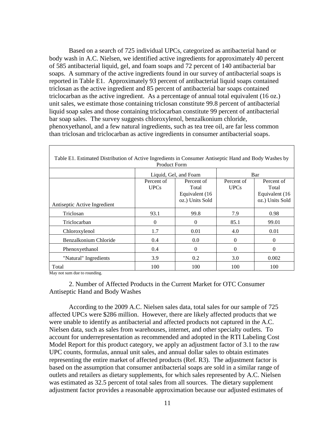Based on a search of 725 individual UPCs, categorized as antibacterial hand or body wash in A.C. Nielsen, we identified active ingredients for approximately 40 percent of 585 antibacterial liquid, gel, and foam soaps and 72 percent of 140 antibacterial bar soaps. A summary of the active ingredients found in our survey of antibacterial soaps is reported in Table E1. Approximately 93 percent of antibacterial liquid soaps contained triclosan as the active ingredient and 85 percent of antibacterial bar soaps contained triclocarban as the active ingredient. As a percentage of annual total equivalent (16 oz.) unit sales, we estimate those containing triclosan constitute 99.8 percent of antibacterial liquid soap sales and those containing triclocarban constitute 99 percent of antibacterial bar soap sales. The survey suggests chloroxylenol, benzalkonium chloride, phenoxyethanol, and a few natural ingredients, such as tea tree oil, are far less common than triclosan and triclocarban as active ingredients in consumer antibacterial soaps.

| Table E1. Estimated Distribution of Active Ingredients in Consumer Antiseptic Hand and Body Washes by<br><b>Product Form</b> |                           |                                                          |                           |                                                          |  |  |
|------------------------------------------------------------------------------------------------------------------------------|---------------------------|----------------------------------------------------------|---------------------------|----------------------------------------------------------|--|--|
|                                                                                                                              |                           | Liquid, Gel, and Foam                                    |                           | Bar                                                      |  |  |
| Antiseptic Active Ingredient                                                                                                 | Percent of<br><b>UPCs</b> | Percent of<br>Total<br>Equivalent (16<br>oz.) Units Sold | Percent of<br><b>UPCs</b> | Percent of<br>Total<br>Equivalent (16<br>oz.) Units Sold |  |  |
| Triclosan                                                                                                                    | 93.1                      | 99.8                                                     | 7.9                       | 0.98                                                     |  |  |
| Triclocarban                                                                                                                 | $\Omega$                  | $\Omega$                                                 | 85.1                      | 99.01                                                    |  |  |
| Chloroxylenol                                                                                                                | 1.7                       | 0.01                                                     | 4.0                       | 0.01                                                     |  |  |
| Benzalkonium Chloride                                                                                                        | 0.4                       | 0.0                                                      | $\theta$                  | $\Omega$                                                 |  |  |
| Phenoxyethanol                                                                                                               | 0.4                       | $\Omega$                                                 | $\theta$                  | 0                                                        |  |  |
| "Natural" Ingredients                                                                                                        | 3.9                       | 0.2                                                      | 3.0                       | 0.002                                                    |  |  |
| Total                                                                                                                        | 100                       | 100                                                      | 100                       | 100                                                      |  |  |

May not sum due to rounding.

2. Number of Affected Products in the Current Market for OTC Consumer Antiseptic Hand and Body Washes

According to the 2009 A.C. Nielsen sales data, total sales for our sample of 725 affected UPCs were \$286 million. However, there are likely affected products that we were unable to identify as antibacterial and affected products not captured in the A.C. Nielsen data, such as sales from warehouses, internet, and other specialty outlets. To account for underrepresentation as recommended and adopted in the RTI Labeling Cost Model Report for this product category, we apply an adjustment factor of 3.1 to the raw UPC counts, formulas, annual unit sales, and annual dollar sales to obtain estimates representing the entire market of affected products (Ref. R3). The adjustment factor is based on the assumption that consumer antibacterial soaps are sold in a similar range of outlets and retailers as dietary supplements, for which sales represented by A.C. Nielsen was estimated as 32.5 percent of total sales from all sources. The dietary supplement adjustment factor provides a reasonable approximation because our adjusted estimates of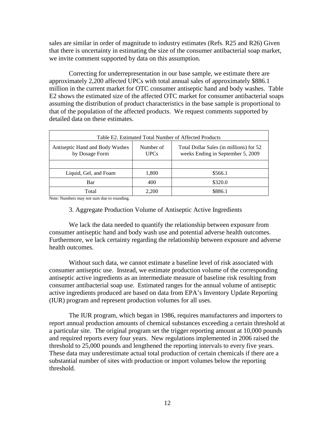sales are similar in order of magnitude to industry estimates (Refs. R25 and R26) Given that there is uncertainty in estimating the size of the consumer antibacterial soap market, we invite comment supported by data on this assumption.

Correcting for underrepresentation in our base sample, we estimate there are approximately 2,200 affected UPCs with total annual sales of approximately \$886.1 million in the current market for OTC consumer antiseptic hand and body washes. Table E2 shows the estimated size of the affected OTC market for consumer antibacterial soaps assuming the distribution of product characteristics in the base sample is proportional to that of the population of the affected products. We request comments supported by detailed data on these estimates.

| Table E2. Estimated Total Number of Affected Products |                          |                                                                              |  |  |  |
|-------------------------------------------------------|--------------------------|------------------------------------------------------------------------------|--|--|--|
| Antiseptic Hand and Body Washes<br>by Dosage Form     | Number of<br><b>UPCs</b> | Total Dollar Sales (in millions) for 52<br>weeks Ending in September 5, 2009 |  |  |  |
|                                                       |                          |                                                                              |  |  |  |
| Liquid, Gel, and Foam                                 | 1,800                    | \$566.1                                                                      |  |  |  |
| Bar                                                   | 400                      | \$320.0                                                                      |  |  |  |
| Total                                                 | 2.200                    | \$886.1                                                                      |  |  |  |

Note: Numbers may not sum due to rounding.

## 3. Aggregate Production Volume of Antiseptic Active Ingredients

We lack the data needed to quantify the relationship between exposure from consumer antiseptic hand and body wash use and potential adverse health outcomes. Furthermore, we lack certainty regarding the relationship between exposure and adverse health outcomes.

Without such data, we cannot estimate a baseline level of risk associated with consumer antiseptic use. Instead, we estimate production volume of the corresponding antiseptic active ingredients as an intermediate measure of baseline risk resulting from consumer antibacterial soap use. Estimated ranges for the annual volume of antiseptic active ingredients produced are based on data from EPA's Inventory Update Reporting (IUR) program and represent production volumes for all uses.

The IUR program, which began in 1986, requires manufacturers and importers to report annual production amounts of chemical substances exceeding a certain threshold at a particular site. The original program set the trigger reporting amount at 10,000 pounds and required reports every four years. New regulations implemented in 2006 raised the threshold to 25,000 pounds and lengthened the reporting intervals to every five years. These data may underestimate actual total production of certain chemicals if there are a substantial number of sites with production or import volumes below the reporting threshold.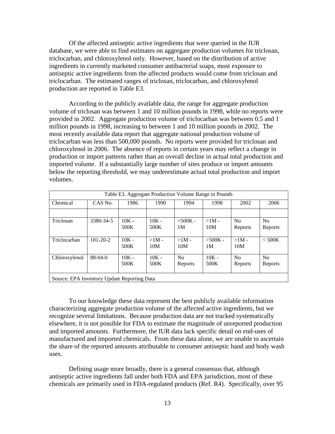Of the affected antiseptic active ingredients that were queried in the IUR database, we were able to find estimates on aggregate production volumes for triclosan, triclocarban, and chloroxylenol only. However, based on the distribution of active ingredients in currently marketed consumer antibacterial soaps, most exposure to antiseptic active ingredients from the affected products would come from triclosan and triclocarban. The estimated ranges of triclosan, triclocarban, and chloroxylenol production are reported in Table E3.

According to the publicly available data, the range for aggregate production volume of triclosan was between 1 and 10 million pounds in 1998, while no reports were provided in 2002. Aggregate production volume of triclocarban was between 0.5 and 1 million pounds in 1998, increasing to between 1 and 10 million pounds in 2002. The most recently available data report that aggregate national production volume of triclocarban was less than 500,000 pounds. No reports were provided for triclosan and chloroxylenol in 2006. The absence of reports in certain years may reflect a change in production or import patterns rather than an overall decline in actual total production and imported volume. If a substantially large number of sites produce or import amounts below the reporting threshold, we may underestimate actual total production and import volumes.

| Table E3. Aggregate Production Volume Range in Pounds |                |                 |                 |                 |                             |                           |                           |
|-------------------------------------------------------|----------------|-----------------|-----------------|-----------------|-----------------------------|---------------------------|---------------------------|
| Chemical                                              | CAS No.        | 1986            | 1990            | 1994            | 1998                        | 2002                      | 2006                      |
|                                                       |                |                 |                 |                 |                             |                           |                           |
| Triclosan                                             | 3380-34-5      | $10K -$<br>500K | $10K -$<br>500K | $>500K -$<br>1M | $>1M -$<br>10M              | N <sub>0</sub><br>Reports | No<br>Reports             |
| Triclocarban                                          | $101 - 20 - 2$ | $10K -$<br>500K | $>1M -$<br>10M  | $>1M -$<br>10M  | $>500K -$<br>1 <sub>M</sub> | $>1M -$<br>10M            | < 500K                    |
| Chloroxylenol                                         | $88-04-0$      | $10K -$<br>500K | $10K -$<br>500K | No<br>Reports   | $10K -$<br>500K             | N <sub>0</sub><br>Reports | N <sub>o</sub><br>Reports |
| Source: EPA Inventory Update Reporting Data           |                |                 |                 |                 |                             |                           |                           |

To our knowledge these data represent the best publicly available information characterizing aggregate production volume of the affected active ingredients, but we recognize several limitations. Because production data are not tracked systematically elsewhere, it is not possible for FDA to estimate the magnitude of unreported production and imported amounts. Furthermore, the IUR data lack specific detail on end-uses of manufactured and imported chemicals. From these data alone, we are unable to ascertain the share of the reported amounts attributable to consumer antiseptic hand and body wash uses.

Defining usage more broadly, there is a general consensus that, although antiseptic active ingredients fall under both FDA and EPA jurisdiction, most of these chemicals are primarily used in FDA-regulated products (Ref. R4). Specifically, over 95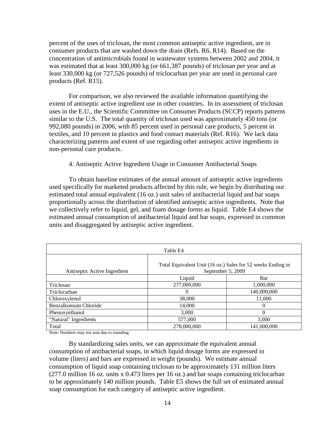percent of the uses of triclosan, the most common antiseptic active ingredient, are in consumer products that are washed down the drain (Refs. R6, R14). Based on the concentration of antimicrobials found in wastewater systems between 2002 and 2004, it was estimated that at least 300,000 kg (or 661,387 pounds) of triclosan per year and at least 330,000 kg (or 727,526 pounds) of triclocarban per year are used in personal care products (Ref. R15).

For comparison, we also reviewed the available information quantifying the extent of antiseptic active ingredient use in other countries. In its assessment of triclosan uses in the E.U., the Scientific Committee on Consumer Products (SCCP) reports patterns similar to the U.S. The total quantity of triclosan used was approximately 450 tons (or 992,080 pounds) in 2006, with 85 percent used in personal care products, 5 percent in textiles, and 10 percent in plastics and food contact materials (Ref. R16). We lack data characterizing patterns and extent of use regarding other antiseptic active ingredients in non-personal care products.

4. Antiseptic Active Ingredient Usage in Consumer Antibacterial Soaps

To obtain baseline estimates of the annual amount of antiseptic active ingredients used specifically for marketed products affected by this rule, we begin by distributing our estimated total annual equivalent (16 oz.) unit sales of antibacterial liquid and bar soaps proportionally across the distribution of identified antiseptic active ingredients. Note that we collectively refer to liquid, gel, and foam dosage forms as liquid. Table E4 shows the estimated annual consumption of antibacterial liquid and bar soaps, expressed in common units and disaggregated by antiseptic active ingredient.

| Table E4                                                                                                         |             |             |  |  |
|------------------------------------------------------------------------------------------------------------------|-------------|-------------|--|--|
| Total Equivalent Unit (16 oz.) Sales for 52 weeks Ending in<br>September 5, 2009<br>Antiseptic Active Ingredient |             |             |  |  |
|                                                                                                                  | Liquid      | Bar         |  |  |
| Triclosan                                                                                                        | 277,000,000 | 1,000,000   |  |  |
| Triclocarban                                                                                                     | $\Omega$    | 140,000,000 |  |  |
| Chloroxylenol                                                                                                    | 38,000      | 11,000      |  |  |
| Benzalkonium Chloride                                                                                            | 14,000      | $\Omega$    |  |  |
| Phenoxyethanol                                                                                                   | 3,000       | $\Omega$    |  |  |
| "Natural" Ingredients                                                                                            | 577,000     | 3,000       |  |  |
| Total                                                                                                            | 278,000,000 | 141,000,000 |  |  |

Note: Numbers may not sum due to rounding.

By standardizing sales units, we can approximate the equivalent annual consumption of antibacterial soaps, in which liquid dosage forms are expressed in volume (liters) and bars are expressed in weight (pounds). We estimate annual consumption of liquid soap containing triclosan to be approximately 131 million liters (277.0 million 16 oz. units x 0.473 liters per 16 oz.) and bar soaps containing triclocarban to be approximately 140 million pounds. Table E5 shows the full set of estimated annual soap consumption for each category of antiseptic active ingredient.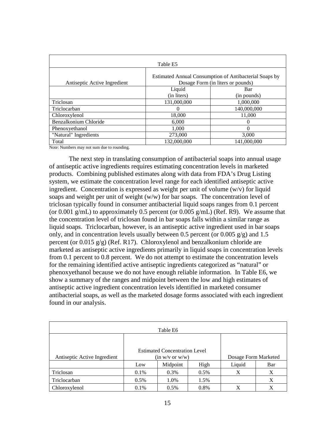| Table E5                     |                                                                                             |             |  |  |  |
|------------------------------|---------------------------------------------------------------------------------------------|-------------|--|--|--|
| Antiseptic Active Ingredient | Estimated Annual Consumption of Antibacterial Soaps by<br>Dosage Form (in liters or pounds) |             |  |  |  |
|                              | Liquid                                                                                      | Bar         |  |  |  |
|                              | (in liters)                                                                                 | (in pounds) |  |  |  |
| Triclosan                    | 131,000,000                                                                                 | 1,000,000   |  |  |  |
| Triclocarban                 | 0                                                                                           | 140,000,000 |  |  |  |
| Chloroxylenol                | 18,000                                                                                      | 11,000      |  |  |  |
| Benzalkonium Chloride        | 6.000                                                                                       | $\theta$    |  |  |  |
| Phenoxyethanol               | 1,000                                                                                       | 0           |  |  |  |
| "Natural" Ingredients        | 273,000                                                                                     | 3,000       |  |  |  |
| Total                        | 132,000,000                                                                                 | 141,000,000 |  |  |  |

Note: Numbers may not sum due to rounding.

The next step in translating consumption of antibacterial soaps into annual usage of antiseptic active ingredients requires estimating concentration levels in marketed products. Combining published estimates along with data from FDA's Drug Listing system, we estimate the concentration level range for each identified antiseptic active ingredient. Concentration is expressed as weight per unit of volume (w/v) for liquid soaps and weight per unit of weight (w/w) for bar soaps. The concentration level of triclosan typically found in consumer antibacterial liquid soaps ranges from 0.1 percent (or 0.001 g/mL) to approximately 0.5 percent (or 0.005 g/mL) (Ref. R9). We assume that the concentration level of triclosan found in bar soaps falls within a similar range as liquid soaps. Triclocarban, however, is an antiseptic active ingredient used in bar soaps only, and in concentration levels usually between 0.5 percent (or 0.005  $g/g$ ) and 1.5 percent (or 0.015 g/g) (Ref. R17). Chloroxylenol and benzalkonium chloride are marketed as antiseptic active ingredients primarily in liquid soaps in concentration levels from 0.1 percent to 0.8 percent. We do not attempt to estimate the concentration levels for the remaining identified active antiseptic ingredients categorized as "natural" or phenoxyethanol because we do not have enough reliable information. In Table E6, we show a summary of the ranges and midpoint between the low and high estimates of antiseptic active ingredient concentration levels identified in marketed consumer antibacterial soaps, as well as the marketed dosage forms associated with each ingredient found in our analysis.

| Table E6                     |                      |                                      |         |                      |     |  |
|------------------------------|----------------------|--------------------------------------|---------|----------------------|-----|--|
|                              |                      |                                      |         |                      |     |  |
|                              |                      | <b>Estimated Concentration Level</b> |         |                      |     |  |
| Antiseptic Active Ingredient |                      | (in w/v or w/w)                      |         | Dosage Form Marketed |     |  |
|                              | Low                  | Midpoint                             | High    | Liquid               | Bar |  |
| Triclosan                    | $0.1\%$              | 0.3%                                 | $0.5\%$ | X                    | X   |  |
| Triclocarban                 | 1.0%<br>0.5%<br>1.5% |                                      |         |                      | X   |  |
| Chloroxylenol                | 0.1%                 | 0.5%                                 | 0.8%    | X                    | X   |  |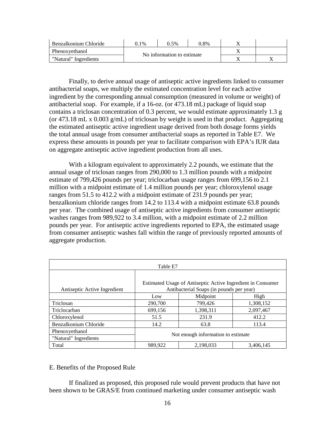| Benzalkonium Chloride | 0.1%                       | 0.5% | 0.8% |  |
|-----------------------|----------------------------|------|------|--|
| Phenoxyethanol        | No information to estimate |      |      |  |
| "Natural" Ingredients |                            |      |      |  |

Finally, to derive annual usage of antiseptic active ingredients linked to consumer antibacterial soaps, we multiply the estimated concentration level for each active ingredient by the corresponding annual consumption (measured in volume or weight) of antibacterial soap. For example, if a 16-oz. (or 473.18 mL) package of liquid soap contains a triclosan concentration of 0.3 percent, we would estimate approximately 1.3 g (or 473.18 mL x  $0.003$  g/mL) of triclosan by weight is used in that product. Aggregating the estimated antiseptic active ingredient usage derived from both dosage forms yields the total annual usage from consumer antibacterial soaps as reported in Table E7. We express these amounts in pounds per year to facilitate comparison with EPA's IUR data on aggregate antiseptic active ingredient production from all uses.

With a kilogram equivalent to approximately 2.2 pounds, we estimate that the annual usage of triclosan ranges from 290,000 to 1.3 million pounds with a midpoint estimate of 799,426 pounds per year; triclocarban usage ranges from 699,156 to 2.1 million with a midpoint estimate of 1.4 million pounds per year; chloroxylenol usage ranges from 51.5 to 412.2 with a midpoint estimate of 231.9 pounds per year; benzalkonium chloride ranges from 14.2 to 113.4 with a midpoint estimate 63.8 pounds per year. The combined usage of antiseptic active ingredients from consumer antiseptic washes ranges from 989,922 to 3.4 million, with a midpoint estimate of 2.2 million pounds per year. For antiseptic active ingredients reported to EPA, the estimated usage from consumer antiseptic washes fall within the range of previously reported amounts of aggregate production.

| Table E7                     |                                                                                                         |           |           |  |  |  |
|------------------------------|---------------------------------------------------------------------------------------------------------|-----------|-----------|--|--|--|
|                              | Estimated Usage of Antiseptic Active Ingredient in Consumer<br>Antibacterial Soaps (in pounds per year) |           |           |  |  |  |
| Antiseptic Active Ingredient | Midpoint<br>High<br>Low                                                                                 |           |           |  |  |  |
| Triclosan                    | 290,700                                                                                                 | 799,426   | 1,308,152 |  |  |  |
| Triclocarban                 | 699,156                                                                                                 | 1,398,311 | 2,097,467 |  |  |  |
| Chloroxylenol                | 51.5                                                                                                    | 231.9     | 412.2     |  |  |  |
| Benzalkonium Chloride        | 14.2                                                                                                    | 63.8      | 113.4     |  |  |  |
| Phenoxyethanol               |                                                                                                         |           |           |  |  |  |
| "Natural" Ingredients        | Not enough information to estimate.                                                                     |           |           |  |  |  |
| Total                        | 989,922                                                                                                 | 2,198,033 | 3,406,145 |  |  |  |

## E. Benefits of the Proposed Rule

If finalized as proposed, this proposed rule would prevent products that have not been shown to be GRAS/E from continued marketing under consumer antiseptic wash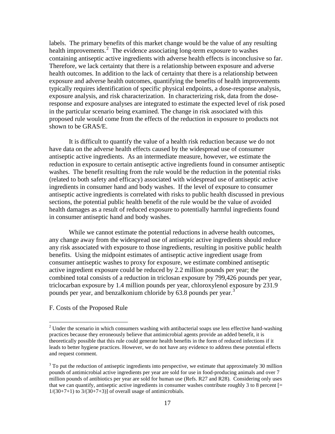labels. The primary benefits of this market change would be the value of any resulting health improvements.<sup>[2](#page-16-0)</sup> The evidence associating long-term exposure to washes containing antiseptic active ingredients with adverse health effects is inconclusive so far. Therefore, we lack certainty that there is a relationship between exposure and adverse health outcomes. In addition to the lack of certainty that there is a relationship between exposure and adverse health outcomes, quantifying the benefits of health improvements typically requires identification of specific physical endpoints, a dose-response analysis, exposure analysis, and risk characterization. In characterizing risk, data from the doseresponse and exposure analyses are integrated to estimate the expected level of risk posed in the particular scenario being examined. The change in risk associated with this proposed rule would come from the effects of the reduction in exposure to products not shown to be GRAS/E.

It is difficult to quantify the value of a health risk reduction because we do not have data on the adverse health effects caused by the widespread use of consumer antiseptic active ingredients. As an intermediate measure, however, we estimate the reduction in exposure to certain antiseptic active ingredients found in consumer antiseptic washes. The benefit resulting from the rule would be the reduction in the potential risks (related to both safety and efficacy) associated with widespread use of antiseptic active ingredients in consumer hand and body washes. If the level of exposure to consumer antiseptic active ingredients is correlated with risks to public health discussed in previous sections, the potential public health benefit of the rule would be the value of avoided health damages as a result of reduced exposure to potentially harmful ingredients found in consumer antiseptic hand and body washes.

While we cannot estimate the potential reductions in adverse health outcomes, any change away from the widespread use of antiseptic active ingredients should reduce any risk associated with exposure to those ingredients, resulting in positive public health benefits. Using the midpoint estimates of antiseptic active ingredient usage from consumer antiseptic washes to proxy for exposure, we estimate combined antiseptic active ingredient exposure could be reduced by 2.2 million pounds per year; the combined total consists of a reduction in triclosan exposure by 799,426 pounds per year, triclocarban exposure by 1.4 million pounds per year, chloroxylenol exposure by 231.9 pounds per year, and benzalkonium chloride by 6[3](#page-16-1).8 pounds per year.<sup>3</sup>

#### F. Costs of the Proposed Rule

<span id="page-16-0"></span> $2$  Under the scenario in which consumers washing with antibacterial soaps use less effective hand-washing practices because they erroneously believe that antimicrobial agents provide an added benefit, it is theoretically possible that this rule could generate health benefits in the form of reduced infections if it leads to better hygiene practices. However, we do not have any evidence to address these potential effects and request comment.

<span id="page-16-1"></span><sup>&</sup>lt;sup>3</sup> To put the reduction of antiseptic ingredients into perspective, we estimate that approximately 30 million pounds of antimicrobial active ingredients per year are sold for use in food-producing animals and over 7 million pounds of antibiotics per year are sold for human use (Refs. R27 and R28). Considering only uses that we can quantify, antiseptic active ingredients in consumer washes contribute roughly 3 to 8 percent  $[=$  $1/(30+7+1)$  to  $3/(30+7+3)$ ] of overall usage of antimicrobials.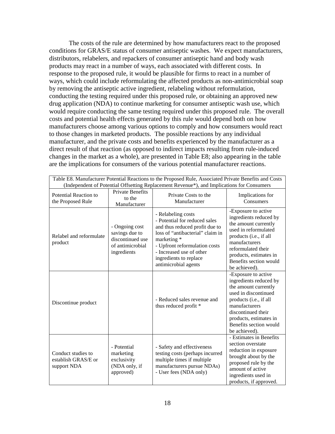The costs of the rule are determined by how manufacturers react to the proposed conditions for GRAS/E status of consumer antiseptic washes. We expect manufacturers, distributors, relabelers, and repackers of consumer antiseptic hand and body wash products may react in a number of ways, each associated with different costs. In response to the proposed rule, it would be plausible for firms to react in a number of ways, which could include reformulating the affected products as non-antimicrobial soap by removing the antiseptic active ingredient, relabeling without reformulation, conducting the testing required under this proposed rule, or obtaining an approved new drug application (NDA) to continue marketing for consumer antiseptic wash use, which would require conducting the same testing required under this proposed rule. The overall costs and potential health effects generated by this rule would depend both on how manufacturers choose among various options to comply and how consumers would react to those changes in marketed products. The possible reactions by any individual manufacturer, and the private costs and benefits experienced by the manufacturer as a direct result of that reaction (as opposed to indirect impacts resulting from rule-induced changes in the market as a whole), are presented in Table E8; also appearing in the table are the implications for consumers of the various potential manufacturer reactions.

| Table E8. Manufacturer Potential Reactions to the Proposed Rule, Associated Private Benefits and Costs<br>(Independent of Potential Offsetting Replacement Revenue*), and Implications for Consumers |                                                                                         |                                                                                                                                                                                                                                                         |                                                                                                                                                                                                                                     |  |  |  |  |
|------------------------------------------------------------------------------------------------------------------------------------------------------------------------------------------------------|-----------------------------------------------------------------------------------------|---------------------------------------------------------------------------------------------------------------------------------------------------------------------------------------------------------------------------------------------------------|-------------------------------------------------------------------------------------------------------------------------------------------------------------------------------------------------------------------------------------|--|--|--|--|
| <b>Potential Reaction to</b><br>the Proposed Rule                                                                                                                                                    | <b>Private Benefits</b><br>to the<br>Manufacturer                                       | Private Costs to the<br>Manufacturer                                                                                                                                                                                                                    | Implications for<br>Consumers                                                                                                                                                                                                       |  |  |  |  |
| Relabel and reformulate<br>product                                                                                                                                                                   | - Ongoing cost<br>savings due to<br>discontinued use<br>of antimicrobial<br>ingredients | - Relabeling costs<br>- Potential for reduced sales<br>and thus reduced profit due to<br>loss of "antibacterial" claim in<br>marketing *<br>- Upfront reformulation costs<br>- Increased use of other<br>ingredients to replace<br>antimicrobial agents | -Exposure to active<br>ingredients reduced by<br>the amount currently<br>used in reformulated<br>products (i.e., if all<br>manufacturers<br>reformulated their<br>products, estimates in<br>Benefits section would<br>be achieved). |  |  |  |  |
| Discontinue product                                                                                                                                                                                  |                                                                                         | - Reduced sales revenue and<br>thus reduced profit *                                                                                                                                                                                                    | -Exposure to active<br>ingredients reduced by<br>the amount currently<br>used in discontinued<br>products (i.e., if all<br>manufacturers<br>discontinued their<br>products, estimates in<br>Benefits section would<br>be achieved). |  |  |  |  |
| Conduct studies to<br>establish GRAS/E or<br>support NDA                                                                                                                                             | - Potential<br>marketing<br>exclusivity<br>(NDA only, if<br>approved)                   | - Safety and effectiveness<br>testing costs (perhaps incurred<br>multiple times if multiple<br>manufacturers pursue NDAs)<br>- User fees (NDA only)                                                                                                     | - Estimates in Benefits<br>section overstate<br>reduction in exposure<br>brought about by the<br>proposed rule by the<br>amount of active<br>ingredients used in<br>products, if approved.                                          |  |  |  |  |

Table E8. Manufacturer Potential Reactions to the Proposed Rule, Associated Private Benefits and Costs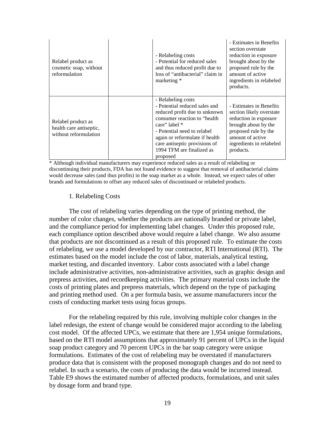| Relabel product as<br>cosmetic soap, without<br>reformulation          | - Relabeling costs<br>- Potential for reduced sales<br>and thus reduced profit due to<br>loss of "antibacterial" claim in<br>marketing *                                                                                                                                          | - Estimates in Benefits<br>section overstate<br>reduction in exposure<br>brought about by the<br>proposed rule by the<br>amount of active<br>ingredients in relabeled<br>products.        |
|------------------------------------------------------------------------|-----------------------------------------------------------------------------------------------------------------------------------------------------------------------------------------------------------------------------------------------------------------------------------|-------------------------------------------------------------------------------------------------------------------------------------------------------------------------------------------|
| Relabel product as<br>health care antiseptic,<br>without reformulation | - Relabeling costs<br>- Potential reduced sales and<br>reduced profit due to unknown<br>consumer reaction to "health"<br>care" label *<br>- Potential need to relabel<br>again or reformulate if health<br>care antiseptic provisions of<br>1994 TFM are finalized as<br>proposed | - Estimates in Benefits<br>section likely overstate<br>reduction in exposure<br>brought about by the<br>proposed rule by the<br>amount of active<br>ingredients in relabeled<br>products. |

\* Although individual manufacturers may experience reduced sales as a result of relabeling or discontinuing their products, FDA has not found evidence to suggest that removal of antibacterial claims would decrease sales (and thus profits) in the soap market as a whole. Instead, we expect sales of other brands and formulations to offset any reduced sales of discontinued or relabeled products.

#### 1. Relabeling Costs

The cost of relabeling varies depending on the type of printing method, the number of color changes, whether the products are nationally branded or private label, and the compliance period for implementing label changes. Under this proposed rule, each compliance option described above would require a label change. We also assume that products are not discontinued as a result of this proposed rule. To estimate the costs of relabeling, we use a model developed by our contractor, RTI International (RTI). The estimates based on the model include the cost of labor, materials, analytical testing, market testing, and discarded inventory. Labor costs associated with a label change include administrative activities, non-administrative activities, such as graphic design and prepress activities, and recordkeeping activities. The primary material costs include the costs of printing plates and prepress materials, which depend on the type of packaging and printing method used. On a per formula basis, we assume manufacturers incur the costs of conducting market tests using focus groups.

For the relabeling required by this rule, involving multiple color changes in the label redesign, the extent of change would be considered major according to the labeling cost model. Of the affected UPCs, we estimate that there are 1,954 unique formulations, based on the RTI model assumptions that approximately 91 percent of UPCs in the liquid soap product category and 70 percent UPCs in the bar soap category were unique formulations. Estimates of the cost of relabeling may be overstated if manufacturers produce data that is consistent with the proposed monograph changes and do not need to relabel. In such a scenario, the costs of producing the data would be incurred instead. Table E9 shows the estimated number of affected products, formulations, and unit sales by dosage form and brand type.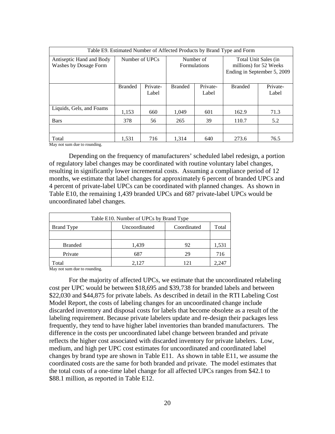| Table E9. Estimated Number of Affected Products by Brand Type and Form |                |                   |                                  |                   |                                                                               |                   |  |
|------------------------------------------------------------------------|----------------|-------------------|----------------------------------|-------------------|-------------------------------------------------------------------------------|-------------------|--|
| Antiseptic Hand and Body<br>Washes by Dosage Form                      | Number of UPCs |                   | Number of<br><b>Formulations</b> |                   | Total Unit Sales (in<br>millions) for 52 Weeks<br>Ending in September 5, 2009 |                   |  |
|                                                                        | <b>Branded</b> | Private-<br>Label | <b>Branded</b>                   | Private-<br>Label | <b>Branded</b>                                                                | Private-<br>Label |  |
| Liquids, Gels, and Foams                                               | 1,153          | 660               | 1,049                            | 601               | 162.9                                                                         | 71.3              |  |
| <b>Bars</b>                                                            | 378            | 56                | 265                              | 39                | 110.7                                                                         | 5.2               |  |
|                                                                        |                |                   |                                  |                   |                                                                               |                   |  |
| Total                                                                  | 1.531          | 716               | 1.314                            | 640               | 273.6                                                                         | 76.5              |  |

May not sum due to rounding.

Depending on the frequency of manufacturers' scheduled label redesign, a portion of regulatory label changes may be coordinated with routine voluntary label changes, resulting in significantly lower incremental costs. Assuming a compliance period of 12 months, we estimate that label changes for approximately 6 percent of branded UPCs and 4 percent of private-label UPCs can be coordinated with planned changes. As shown in Table E10, the remaining 1,439 branded UPCs and 687 private-label UPCs would be uncoordinated label changes.

| Table E10. Number of UPCs by Brand Type                    |       |    |       |  |  |
|------------------------------------------------------------|-------|----|-------|--|--|
| Coordinated<br><b>Brand Type</b><br>Uncoordinated<br>Total |       |    |       |  |  |
|                                                            |       |    |       |  |  |
| <b>Branded</b>                                             | 1,439 | 92 | 1,531 |  |  |
| Private                                                    | 687   | 29 | 716   |  |  |
| Total                                                      | 2.127 |    |       |  |  |

May not sum due to rounding.

For the majority of affected UPCs, we estimate that the uncoordinated relabeling cost per UPC would be between \$18,695 and \$39,738 for branded labels and between \$22,030 and \$44,875 for private labels. As described in detail in the RTI Labeling Cost Model Report, the costs of labeling changes for an uncoordinated change include discarded inventory and disposal costs for labels that become obsolete as a result of the labeling requirement. Because private labelers update and re-design their packages less frequently, they tend to have higher label inventories than branded manufacturers. The difference in the costs per uncoordinated label change between branded and private reflects the higher cost associated with discarded inventory for private labelers. Low, medium, and high per UPC cost estimates for uncoordinated and coordinated label changes by brand type are shown in Table E11. As shown in table E11, we assume the coordinated costs are the same for both branded and private. The model estimates that the total costs of a one-time label change for all affected UPCs ranges from \$42.1 to \$88.1 million, as reported in Table E12.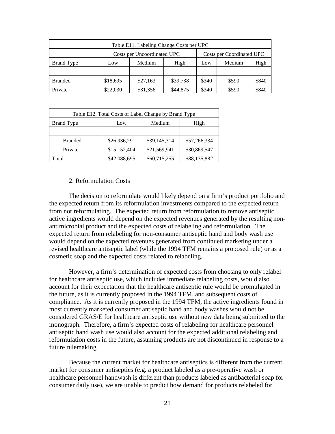| Table E11. Labeling Change Costs per UPC |                                                          |          |          |       |        |       |  |
|------------------------------------------|----------------------------------------------------------|----------|----------|-------|--------|-------|--|
|                                          | Costs per Uncoordinated UPC<br>Costs per Coordinated UPC |          |          |       |        |       |  |
| <b>Brand Type</b>                        | Low                                                      | Medium   | High     | Low   | Medium | High  |  |
|                                          |                                                          |          |          |       |        |       |  |
| <b>Branded</b>                           | \$18,695                                                 | \$27,163 | \$39,738 | \$340 | \$590  | \$840 |  |
| Private                                  | \$22,030                                                 | \$31,356 | \$44,875 | \$340 | \$590  | \$840 |  |

| Table E12. Total Costs of Label Change by Brand Type |              |              |              |  |  |
|------------------------------------------------------|--------------|--------------|--------------|--|--|
| <b>Brand Type</b>                                    | Low          | Medium       | High         |  |  |
|                                                      |              |              |              |  |  |
| <b>Branded</b>                                       | \$26,936,291 | \$39,145,314 | \$57,266,334 |  |  |
| Private                                              | \$15,152,404 | \$21,569,941 | \$30,869,547 |  |  |
| Total                                                | \$42,088,695 | \$60,715,255 | \$88,135,882 |  |  |

## 2. Reformulation Costs

The decision to reformulate would likely depend on a firm's product portfolio and the expected return from its reformulation investments compared to the expected return from not reformulating. The expected return from reformulation to remove antiseptic active ingredients would depend on the expected revenues generated by the resulting nonantimicrobial product and the expected costs of relabeling and reformulation. The expected return from relabeling for non-consumer antiseptic hand and body wash use would depend on the expected revenues generated from continued marketing under a revised healthcare antiseptic label (while the 1994 TFM remains a proposed rule) or as a cosmetic soap and the expected costs related to relabeling.

However, a firm's determination of expected costs from choosing to only relabel for healthcare antiseptic use, which includes immediate relabeling costs, would also account for their expectation that the healthcare antiseptic rule would be promulgated in the future, as it is currently proposed in the 1994 TFM, and subsequent costs of compliance. As it is currently proposed in the 1994 TFM, the active ingredients found in most currently marketed consumer antiseptic hand and body washes would not be considered GRAS/E for healthcare antiseptic use without new data being submitted to the monograph. Therefore, a firm's expected costs of relabeling for healthcare personnel antiseptic hand wash use would also account for the expected additional relabeling and reformulation costs in the future, assuming products are not discontinued in response to a future rulemaking.

Because the current market for healthcare antiseptics is different from the current market for consumer antiseptics (e.g. a product labeled as a pre-operative wash or healthcare personnel handwash is different than products labeled as antibacterial soap for consumer daily use), we are unable to predict how demand for products relabeled for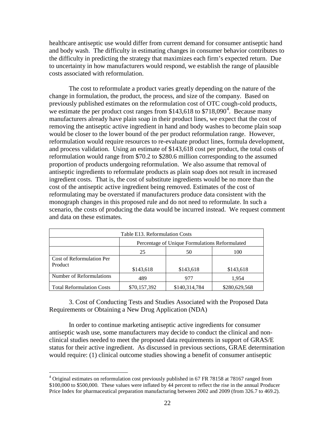healthcare antiseptic use would differ from current demand for consumer antiseptic hand and body wash. The difficulty in estimating changes in consumer behavior contributes to the difficulty in predicting the strategy that maximizes each firm's expected return. Due to uncertainty in how manufacturers would respond, we establish the range of plausible costs associated with reformulation.

The cost to reformulate a product varies greatly depending on the nature of the change in formulation, the product, the process, and size of the company. Based on previously published estimates on the reformulation cost of OTC cough-cold products, we estimate the per product cost ranges from  $$143,618$  $$143,618$  $$143,618$  to  $$718,090<sup>4</sup>$ . Because many manufacturers already have plain soap in their product lines, we expect that the cost of removing the antiseptic active ingredient in hand and body washes to become plain soap would be closer to the lower bound of the per product reformulation range. However, reformulation would require resources to re-evaluate product lines, formula development, and process validation. Using an estimate of \$143,618 cost per product, the total costs of reformulation would range from \$70.2 to \$280.6 million corresponding to the assumed proportion of products undergoing reformulation. We also assume that removal of antiseptic ingredients to reformulate products as plain soap does not result in increased ingredient costs. That is, the cost of substitute ingredients would be no more than the cost of the antiseptic active ingredient being removed. Estimates of the cost of reformulating may be overstated if manufacturers produce data consistent with the monograph changes in this proposed rule and do not need to reformulate. In such a scenario, the costs of producing the data would be incurred instead. We request comment and data on these estimates.

| Table E13. Reformulation Costs   |                                                |               |               |  |  |  |
|----------------------------------|------------------------------------------------|---------------|---------------|--|--|--|
|                                  | Percentage of Unique Formulations Reformulated |               |               |  |  |  |
|                                  | 25<br>100<br>50                                |               |               |  |  |  |
| Cost of Reformulation Per        |                                                |               |               |  |  |  |
| Product                          |                                                |               |               |  |  |  |
|                                  | \$143,618                                      | \$143,618     | \$143,618     |  |  |  |
| Number of Reformulations         | 489                                            | 977           | 1.954         |  |  |  |
| <b>Total Reformulation Costs</b> | \$70,157,392                                   | \$140,314,784 | \$280,629,568 |  |  |  |

3. Cost of Conducting Tests and Studies Associated with the Proposed Data Requirements or Obtaining a New Drug Application (NDA)

In order to continue marketing antiseptic active ingredients for consumer antiseptic wash use, some manufacturers may decide to conduct the clinical and nonclinical studies needed to meet the proposed data requirements in support of GRAS/E status for their active ingredient. As discussed in previous sections, GRAE determination would require: (1) clinical outcome studies showing a benefit of consumer antiseptic

<span id="page-21-0"></span><sup>&</sup>lt;sup>4</sup> Original estimates on reformulation cost previously published in 67 FR 78158 at 78167 ranged from \$100,000 to \$500,000. These values were inflated by 44 percent to reflect the rise in the annual Producer Price Index for pharmaceutical preparation manufacturing between 2002 and 2009 (from 326.7 to 469.2).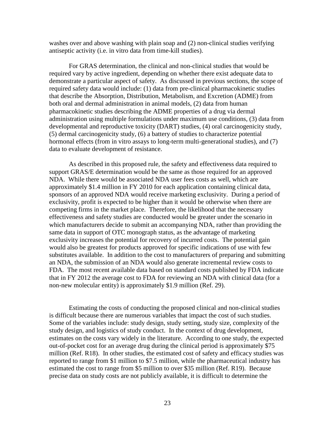washes over and above washing with plain soap and (2) non-clinical studies verifying antiseptic activity (i.e. in vitro data from time-kill studies).

For GRAS determination, the clinical and non-clinical studies that would be required vary by active ingredient, depending on whether there exist adequate data to demonstrate a particular aspect of safety. As discussed in previous sections, the scope of required safety data would include: (1) data from pre-clinical pharmacokinetic studies that describe the Absorption, Distribution, Metabolism, and Excretion (ADME) from both oral and dermal administration in animal models, (2) data from human pharmacokinetic studies describing the ADME properties of a drug via dermal administration using multiple formulations under maximum use conditions, (3) data from developmental and reproductive toxicity (DART) studies, (4) oral carcinogenicity study, (5) dermal carcinogenicity study, (6) a battery of studies to characterize potential hormonal effects (from in vitro assays to long-term multi-generational studies), and (7) data to evaluate development of resistance.

As described in this proposed rule, the safety and effectiveness data required to support GRAS/E determination would be the same as those required for an approved NDA. While there would be associated NDA user fees costs as well, which are approximately \$1.4 million in FY 2010 for each application containing clinical data, sponsors of an approved NDA would receive marketing exclusivity. During a period of exclusivity, profit is expected to be higher than it would be otherwise when there are competing firms in the market place. Therefore, the likelihood that the necessary effectiveness and safety studies are conducted would be greater under the scenario in which manufacturers decide to submit an accompanying NDA, rather than providing the same data in support of OTC monograph status, as the advantage of marketing exclusivity increases the potential for recovery of incurred costs. The potential gain would also be greatest for products approved for specific indications of use with few substitutes available. In addition to the cost to manufacturers of preparing and submitting an NDA, the submission of an NDA would also generate incremental review costs to FDA. The most recent available data based on standard costs published by FDA indicate that in FY 2012 the average cost to FDA for reviewing an NDA with clinical data (for a non-new molecular entity) is approximately \$1.9 million (Ref. 29).

Estimating the costs of conducting the proposed clinical and non-clinical studies is difficult because there are numerous variables that impact the cost of such studies. Some of the variables include: study design, study setting, study size, complexity of the study design, and logistics of study conduct. In the context of drug development, estimates on the costs vary widely in the literature. According to one study, the expected out-of-pocket cost for an average drug during the clinical period is approximately \$75 million (Ref. R18). In other studies, the estimated cost of safety and efficacy studies was reported to range from \$1 million to \$7.5 million, while the pharmaceutical industry has estimated the cost to range from \$5 million to over \$35 million (Ref. R19). Because precise data on study costs are not publicly available, it is difficult to determine the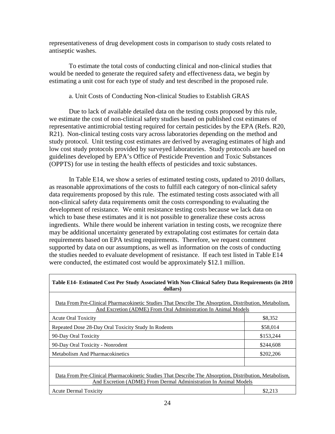representativeness of drug development costs in comparison to study costs related to antiseptic washes.

To estimate the total costs of conducting clinical and non-clinical studies that would be needed to generate the required safety and effectiveness data, we begin by estimating a unit cost for each type of study and test described in the proposed rule.

## a. Unit Costs of Conducting Non-clinical Studies to Establish GRAS

Due to lack of available detailed data on the testing costs proposed by this rule, we estimate the cost of non-clinical safety studies based on published cost estimates of representative antimicrobial testing required for certain pesticides by the EPA (Refs. R20, R21). Non-clinical testing costs vary across laboratories depending on the method and study protocol. Unit testing cost estimates are derived by averaging estimates of high and low cost study protocols provided by surveyed laboratories. Study protocols are based on guidelines developed by EPA's Office of Pesticide Prevention and Toxic Substances (OPPTS) for use in testing the health effects of pesticides and toxic substances.

In Table E14, we show a series of estimated testing costs, updated to 2010 dollars, as reasonable approximations of the costs to fulfill each category of non-clinical safety data requirements proposed by this rule. The estimated testing costs associated with all non-clinical safety data requirements omit the costs corresponding to evaluating the development of resistance. We omit resistance testing costs because we lack data on which to base these estimates and it is not possible to generalize these costs across ingredients. While there would be inherent variation in testing costs, we recognize there may be additional uncertainty generated by extrapolating cost estimates for certain data requirements based on EPA testing requirements. Therefore, we request comment supported by data on our assumptions, as well as information on the costs of conducting the studies needed to evaluate development of resistance. If each test listed in Table E14 were conducted, the estimated cost would be approximately \$12.1 million.

| Table E14- Estimated Cost Per Study Associated With Non-Clinical Safety Data Requirements (in 2010<br>dollars)                                                             |           |  |  |  |
|----------------------------------------------------------------------------------------------------------------------------------------------------------------------------|-----------|--|--|--|
| Data From Pre-Clinical Pharmacokinetic Studies That Describe The Absorption, Distribution, Metabolism,<br>And Excretion (ADME) From Oral Administration In Animal Models   |           |  |  |  |
| <b>Acute Oral Toxicity</b>                                                                                                                                                 | \$8,352   |  |  |  |
| Repeated Dose 28-Day Oral Toxicity Study In Rodents                                                                                                                        | \$58,014  |  |  |  |
| 90-Day Oral Toxicity                                                                                                                                                       | \$153,244 |  |  |  |
| 90-Day Oral Toxicity - Nonrodent                                                                                                                                           | \$244,608 |  |  |  |
| <b>Metabolism And Pharmacokinetics</b>                                                                                                                                     | \$202,206 |  |  |  |
|                                                                                                                                                                            |           |  |  |  |
| Data From Pre-Clinical Pharmacokinetic Studies That Describe The Absorption, Distribution, Metabolism,<br>And Excretion (ADME) From Dermal Administration In Animal Models |           |  |  |  |
| <b>Acute Dermal Toxicity</b>                                                                                                                                               | \$2,213   |  |  |  |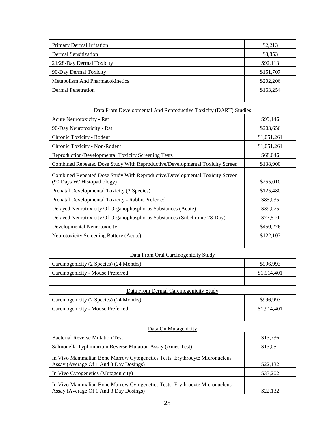| Primary Dermal Irritation                                                                                            | \$2,213     |
|----------------------------------------------------------------------------------------------------------------------|-------------|
| <b>Dermal Sensitization</b>                                                                                          | \$8,853     |
| 21/28-Day Dermal Toxicity                                                                                            | \$92,113    |
| 90-Day Dermal Toxicity                                                                                               | \$151,707   |
| Metabolism And Pharmacokinetics                                                                                      | \$202,206   |
| <b>Dermal Penetration</b>                                                                                            | \$163,254   |
|                                                                                                                      |             |
| Data From Developmental And Reproductive Toxicity (DART) Studies                                                     |             |
| Acute Neurotoxicity - Rat                                                                                            | \$99,146    |
| 90-Day Neurotoxicity - Rat                                                                                           | \$203,656   |
| Chronic Toxicity - Rodent                                                                                            | \$1,051,261 |
| Chronic Toxicity - Non-Rodent                                                                                        | \$1,051,261 |
| <b>Reproduction/Developmental Toxicity Screening Tests</b>                                                           | \$68,046    |
| Combined Repeated Dose Study With Reproductive/Developmental Toxicity Screen                                         | \$138,900   |
| Combined Repeated Dose Study With Reproductive/Developmental Toxicity Screen<br>(90 Days W/Histopathology)           | \$255,010   |
| Prenatal Developmental Toxicity (2 Species)                                                                          | \$125,480   |
| Prenatal Developmental Toxicity - Rabbit Preferred                                                                   | \$85,035    |
| Delayed Neurotoxicity Of Organophosphorus Substances (Acute)                                                         | \$39,075    |
| Delayed Neurotoxicity Of Organophosphorus Substances (Subchronic 28-Day)                                             | \$77,510    |
| Developmental Neurotoxicity                                                                                          | \$450,276   |
| Neurotoxicity Screening Battery (Acute)                                                                              | \$122,107   |
|                                                                                                                      |             |
| Data From Oral Carcinogenicity Study                                                                                 |             |
| Carcinogenicity (2 Species) (24 Months)                                                                              | \$996,993   |
| Carcinogenicity - Mouse Preferred                                                                                    | \$1,914,401 |
|                                                                                                                      |             |
| Data From Dermal Carcinogenicity Study                                                                               |             |
| Carcinogenicity (2 Species) (24 Months)                                                                              | \$996,993   |
| Carcinogenicity - Mouse Preferred                                                                                    | \$1,914,401 |
|                                                                                                                      |             |
| Data On Mutagenicity                                                                                                 |             |
| <b>Bacterial Reverse Mutation Test</b>                                                                               | \$13,736    |
| Salmonella Typhimurium Reverse Mutation Assay (Ames Test)                                                            | \$13,051    |
| In Vivo Mammalian Bone Marrow Cytogenetics Tests: Erythrocyte Micronucleus<br>Assay (Average Of 1 And 3 Day Dosings) | \$22,132    |
| In Vivo Cytogenetics (Mutagenicity)                                                                                  | \$33,202    |
| In Vivo Mammalian Bone Marrow Cytogenetics Tests: Erythrocyte Micronucleus<br>Assay (Average Of 1 And 3 Day Dosings) | \$22,132    |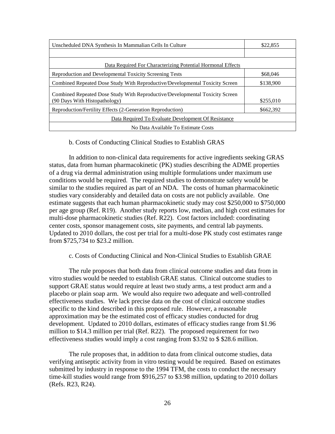| Unscheduled DNA Synthesis In Mammalian Cells In Culture                                                       | \$22,855  |  |  |  |
|---------------------------------------------------------------------------------------------------------------|-----------|--|--|--|
|                                                                                                               |           |  |  |  |
| Data Required For Characterizing Potential Hormonal Effects                                                   |           |  |  |  |
| Reproduction and Developmental Toxicity Screening Tests                                                       | \$68,046  |  |  |  |
| Combined Repeated Dose Study With Reproductive/Developmental Toxicity Screen                                  | \$138,900 |  |  |  |
| Combined Repeated Dose Study With Reproductive/Developmental Toxicity Screen<br>(90 Days With Histopathology) | \$255,010 |  |  |  |
| Reproduction/Fertility Effects (2-Generation Reproduction)                                                    | \$662,392 |  |  |  |
| Data Required To Evaluate Development Of Resistance                                                           |           |  |  |  |
| No Data Available To Estimate Costs                                                                           |           |  |  |  |

## b. Costs of Conducting Clinical Studies to Establish GRAS

In addition to non-clinical data requirements for active ingredients seeking GRAS status, data from human pharmacokinetic (PK) studies describing the ADME properties of a drug via dermal administration using multiple formulations under maximum use conditions would be required. The required studies to demonstrate safety would be similar to the studies required as part of an NDA. The costs of human pharmacokinetic studies vary considerably and detailed data on costs are not publicly available. One estimate suggests that each human pharmacokinetic study may cost \$250,000 to \$750,000 per age group (Ref. R19). Another study reports low, median, and high cost estimates for multi-dose pharmacokinetic studies (Ref. R22). Cost factors included: coordinating center costs, sponsor management costs, site payments, and central lab payments. Updated to 2010 dollars, the cost per trial for a multi-dose PK study cost estimates range from \$725,734 to \$23.2 million.

## c. Costs of Conducting Clinical and Non-Clinical Studies to Establish GRAE

The rule proposes that both data from clinical outcome studies and data from in vitro studies would be needed to establish GRAE status. Clinical outcome studies to support GRAE status would require at least two study arms, a test product arm and a placebo or plain soap arm. We would also require two adequate and well-controlled effectiveness studies. We lack precise data on the cost of clinical outcome studies specific to the kind described in this proposed rule. However, a reasonable approximation may be the estimated cost of efficacy studies conducted for drug development. Updated to 2010 dollars, estimates of efficacy studies range from \$1.96 million to \$14.3 million per trial (Ref. R22). The proposed requirement for two effectiveness studies would imply a cost ranging from \$3.92 to \$ \$28.6 million.

The rule proposes that, in addition to data from clinical outcome studies, data verifying antiseptic activity from in vitro testing would be required. Based on estimates submitted by industry in response to the 1994 TFM, the costs to conduct the necessary time-kill studies would range from \$916,257 to \$3.98 million, updating to 2010 dollars (Refs. R23, R24).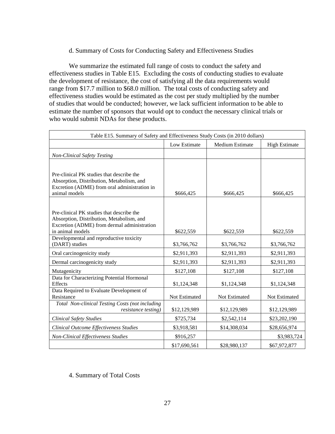## d. Summary of Costs for Conducting Safety and Effectiveness Studies

We summarize the estimated full range of costs to conduct the safety and effectiveness studies in Table E15. Excluding the costs of conducting studies to evaluate the development of resistance, the cost of satisfying all the data requirements would range from \$17.7 million to \$68.0 million. The total costs of conducting safety and effectiveness studies would be estimated as the cost per study multiplied by the number of studies that would be conducted; however, we lack sufficient information to be able to estimate the number of sponsors that would opt to conduct the necessary clinical trials or who would submit NDAs for these products.

| Table E15. Summary of Safety and Effectiveness Study Costs (in 2010 dollars)           |               |                        |                      |  |  |  |  |
|----------------------------------------------------------------------------------------|---------------|------------------------|----------------------|--|--|--|--|
|                                                                                        | Low Estimate  | <b>Medium Estimate</b> | <b>High Estimate</b> |  |  |  |  |
| <b>Non-Clinical Safety Testing</b>                                                     |               |                        |                      |  |  |  |  |
|                                                                                        |               |                        |                      |  |  |  |  |
| Pre-clinical PK studies that describe the                                              |               |                        |                      |  |  |  |  |
| Absorption, Distribution, Metabolism, and                                              |               |                        |                      |  |  |  |  |
| Excretion (ADME) from oral administration in<br>animal models                          | \$666,425     | \$666,425              | \$666,425            |  |  |  |  |
|                                                                                        |               |                        |                      |  |  |  |  |
|                                                                                        |               |                        |                      |  |  |  |  |
| Pre-clinical PK studies that describe the<br>Absorption, Distribution, Metabolism, and |               |                        |                      |  |  |  |  |
| Excretion (ADME) from dermal administration                                            |               |                        |                      |  |  |  |  |
| in animal models                                                                       | \$622,559     | \$622,559              | \$622,559            |  |  |  |  |
| Developmental and reproductive toxicity                                                |               |                        |                      |  |  |  |  |
| (DART) studies                                                                         | \$3,766,762   | \$3,766,762            | \$3,766,762          |  |  |  |  |
| Oral carcinogenicity study                                                             | \$2,911,393   | \$2,911,393            | \$2,911,393          |  |  |  |  |
| Dermal carcinogenicity study                                                           | \$2,911,393   | \$2,911,393            | \$2,911,393          |  |  |  |  |
| Mutagenicity                                                                           | \$127,108     | \$127,108              | \$127,108            |  |  |  |  |
| Data for Characterizing Potential Hormonal                                             |               |                        |                      |  |  |  |  |
| <b>Effects</b>                                                                         | \$1,124,348   | \$1,124,348            | \$1,124,348          |  |  |  |  |
| Data Required to Evaluate Development of<br>Resistance                                 | Not Estimated | <b>Not Estimated</b>   | Not Estimated        |  |  |  |  |
| Total Non-clinical Testing Costs (not including                                        |               |                        |                      |  |  |  |  |
| resistance testing)                                                                    | \$12,129,989  | \$12,129,989           | \$12,129,989         |  |  |  |  |
| <b>Clinical Safety Studies</b>                                                         | \$725,734     | \$2,542,114            | \$23,202,190         |  |  |  |  |
| Clinical Outcome Effectiveness Studies                                                 | \$3,918,581   | \$14,308,034           | \$28,656,974         |  |  |  |  |
| <b>Non-Clinical Effectiveness Studies</b>                                              | \$916,257     |                        | \$3,983,724          |  |  |  |  |
|                                                                                        | \$17,690,561  | \$28,980,137           | \$67,972,877         |  |  |  |  |

## 4. Summary of Total Costs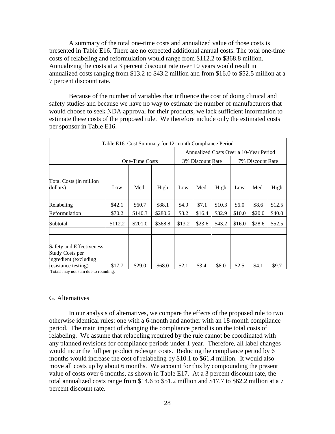A summary of the total one-time costs and annualized value of those costs is presented in Table E16. There are no expected additional annual costs. The total one-time costs of relabeling and reformulation would range from \$112.2 to \$368.8 million. Annualizing the costs at a 3 percent discount rate over 10 years would result in annualized costs ranging from \$13.2 to \$43.2 million and from \$16.0 to \$52.5 million at a 7 percent discount rate.

Because of the number of variables that influence the cost of doing clinical and safety studies and because we have no way to estimate the number of manufacturers that would choose to seek NDA approval for their products, we lack sufficient information to estimate these costs of the proposed rule. We therefore include only the estimated costs per sponsor in Table E16.

| Table E16. Cost Summary for 12-month Compliance Period                      |         |                       |                                        |        |                  |        |        |                  |        |  |
|-----------------------------------------------------------------------------|---------|-----------------------|----------------------------------------|--------|------------------|--------|--------|------------------|--------|--|
|                                                                             |         |                       | Annualized Costs Over a 10-Year Period |        |                  |        |        |                  |        |  |
|                                                                             |         | <b>One-Time Costs</b> |                                        |        | 3% Discount Rate |        |        | 7% Discount Rate |        |  |
|                                                                             |         |                       |                                        |        |                  |        |        |                  |        |  |
| Total Costs (in million<br>dollars)                                         | Low     | Med.                  | High                                   | Low    | Med.             | High   | Low    | Med.             | High   |  |
|                                                                             |         |                       |                                        |        |                  |        |        |                  |        |  |
| Relabeling                                                                  | \$42.1  | \$60.7                | \$88.1                                 | \$4.9  | \$7.1            | \$10.3 | \$6.0  | \$8.6            | \$12.5 |  |
| Reformulation                                                               | \$70.2  | \$140.3               | \$280.6                                | \$8.2  | \$16.4           | \$32.9 | \$10.0 | \$20.0           | \$40.0 |  |
| Subtotal                                                                    | \$112.2 | \$201.0               | \$368.8                                | \$13.2 | \$23.6           | \$43.2 | \$16.0 | \$28.6           | \$52.5 |  |
|                                                                             |         |                       |                                        |        |                  |        |        |                  |        |  |
| Safety and Effectiveness<br><b>Study Costs per</b><br>ingredient (excluding |         |                       |                                        |        |                  |        |        |                  |        |  |
| resistance testing)                                                         | \$17.7  | \$29.0                | \$68.0                                 | \$2.1  | \$3.4            | \$8.0  | \$2.5  | \$4.1            | \$9.7  |  |

Totals may not sum due to rounding.

## G. Alternatives

In our analysis of alternatives, we compare the effects of the proposed rule to two otherwise identical rules: one with a 6-month and another with an 18-month compliance period. The main impact of changing the compliance period is on the total costs of relabeling. We assume that relabeling required by the rule cannot be coordinated with any planned revisions for compliance periods under 1 year. Therefore, all label changes would incur the full per product redesign costs. Reducing the compliance period by 6 months would increase the cost of relabeling by \$10.1 to \$61.4 million. It would also move all costs up by about 6 months. We account for this by compounding the present value of costs over 6 months, as shown in Table E17. At a 3 percent discount rate, the total annualized costs range from \$14.6 to \$51.2 million and \$17.7 to \$62.2 million at a 7 percent discount rate.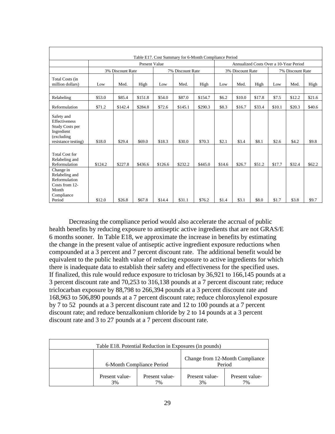|                                                                                                   |         |                  |                      |         | Table E17. Cost Summary for 6-Month Compliance Period |         |        |                  |        |                                        |                  |        |
|---------------------------------------------------------------------------------------------------|---------|------------------|----------------------|---------|-------------------------------------------------------|---------|--------|------------------|--------|----------------------------------------|------------------|--------|
|                                                                                                   |         |                  | <b>Present Value</b> |         |                                                       |         |        |                  |        | Annualized Costs Over a 10-Year Period |                  |        |
|                                                                                                   |         | 3% Discount Rate |                      |         | 7% Discount Rate                                      |         |        | 3% Discount Rate |        |                                        | 7% Discount Rate |        |
| Total Costs (in<br>million dollars)                                                               | Low     | Med.             | High                 | Low     | Med.                                                  | High    | Low    | Med.             | High   | Low                                    | Med.             | High   |
| Relabeling                                                                                        | \$53.0  | \$85.4           | \$151.8              | \$54.0  | \$87.0                                                | \$154.7 | \$6.2  | \$10.0           | \$17.8 | \$7.5                                  | \$12.2           | \$21.6 |
| Reformulation                                                                                     | \$71.2  | \$142.4          | \$284.8              | \$72.6  | \$145.1                                               | \$290.3 | \$8.3  | \$16.7           | \$33.4 | \$10.1                                 | \$20.3           | \$40.6 |
| Safety and<br>Effectiveness<br>Study Costs per<br>Ingredient<br>(excluding<br>resistance testing) | \$18.0  | \$29.4           | \$69.0               | \$18.3  | \$30.0                                                | \$70.3  | \$2.1  | \$3.4            | \$8.1  | \$2.6                                  | \$4.2            | \$9.8  |
| <b>Total Cost for</b><br>Relabeling and<br>Reformulation                                          | \$124.2 | \$227.8          | \$436.6              | \$126.6 | \$232.2                                               | \$445.0 | \$14.6 | \$26.7           | \$51.2 | \$17.7                                 | \$32.4           | \$62.2 |
| Change in<br>Relabeling and<br>Reformulation<br>Costs from 12-<br>Month<br>Compliance<br>Period   | \$12.0  | \$26.8           | \$67.8               | \$14.4  | \$31.1                                                | \$76.2  | \$1.4  | \$3.1            | \$8.0  | \$1.7                                  | \$3.8            | \$9.7  |

Decreasing the compliance period would also accelerate the accrual of public health benefits by reducing exposure to antiseptic active ingredients that are not GRAS/E 6 months sooner. In Table E18, we approximate the increase in benefits by estimating the change in the present value of antiseptic active ingredient exposure reductions when compounded at a 3 percent and 7 percent discount rate. The additional benefit would be equivalent to the public health value of reducing exposure to active ingredients for which there is inadequate data to establish their safety and effectiveness for the specified uses. If finalized, this rule would reduce exposure to triclosan by 36,921 to 166,145 pounds at a 3 percent discount rate and 70,253 to 316,138 pounds at a 7 percent discount rate; reduce triclocarban exposure by 88,798 to 266,394 pounds at a 3 percent discount rate and 168,963 to 506,890 pounds at a 7 percent discount rate; reduce chloroxylenol exposure by 7 to 52 pounds at a 3 percent discount rate and 12 to 100 pounds at a 7 percent discount rate; and reduce benzalkonium chloride by 2 to 14 pounds at a 3 percent discount rate and 3 to 27 pounds at a 7 percent discount rate.

| Table E18. Potential Reduction in Exposures (in pounds) |                           |                      |                                           |                      |  |  |  |
|---------------------------------------------------------|---------------------------|----------------------|-------------------------------------------|----------------------|--|--|--|
|                                                         | 6-Month Compliance Period |                      | Change from 12-Month Compliance<br>Period |                      |  |  |  |
|                                                         | Present value-<br>3%      | Present value-<br>7% | Present value-<br>3%                      | Present value-<br>7% |  |  |  |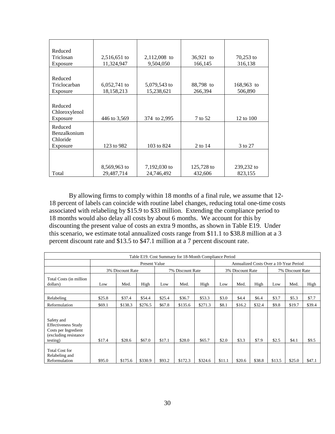| Reduced       |                |              |            |              |
|---------------|----------------|--------------|------------|--------------|
| Triclosan     | 2,516,651 to   | 2,112,008 to | 36,921 to  | $70,253$ to  |
|               |                |              |            |              |
| Exposure      | 11,324,947     | 9,504,050    | 166,145    | 316,138      |
|               |                |              |            |              |
| Reduced       |                |              |            |              |
| Triclocarban  | $6,052,741$ to | 5,079,543 to | 88,798 to  | $168,963$ to |
| Exposure      | 18,158,213     | 15,238,621   | 266,394    | 506,890      |
|               |                |              |            |              |
| Reduced       |                |              |            |              |
| Chloroxylenol |                |              |            |              |
| Exposure      | 446 to 3,569   | 374 to 2,995 | 7 to 52    | 12 to 100    |
|               |                |              |            |              |
| Reduced       |                |              |            |              |
| Benzalkonium  |                |              |            |              |
| Chloride      |                |              |            |              |
| Exposure      | 123 to 982     | 103 to 824   | 2 to 14    | 3 to 27      |
|               |                |              |            |              |
|               |                |              |            |              |
|               | 8,569,963 to   | 7,192,030 to | 125,728 to | 239,232 to   |
| Total         | 29,487,714     | 24,746,492   | 432,606    | 823,155      |

By allowing firms to comply within 18 months of a final rule, we assume that 12- 18 percent of labels can coincide with routine label changes, reducing total one-time costs associated with relabeling by \$15.9 to \$33 million. Extending the compliance period to 18 months would also delay all costs by about 6 months. We account for this by discounting the present value of costs an extra 9 months, as shown in Table E19. Under this scenario, we estimate total annualized costs range from \$11.1 to \$38.8 million at a 3 percent discount rate and \$13.5 to \$47.1 million at a 7 percent discount rate.

|                                                                                                       | Table E19. Cost Summary for 18-Month Compliance Period |                  |                      |        |                  |         |                                        |                  |        |                  |         |        |
|-------------------------------------------------------------------------------------------------------|--------------------------------------------------------|------------------|----------------------|--------|------------------|---------|----------------------------------------|------------------|--------|------------------|---------|--------|
|                                                                                                       |                                                        |                  | <b>Present Value</b> |        |                  |         | Annualized Costs Over a 10-Year Period |                  |        |                  |         |        |
|                                                                                                       |                                                        | 3% Discount Rate |                      |        | 7% Discount Rate |         |                                        | 3% Discount Rate |        | 7% Discount Rate |         |        |
| Total Costs (in million<br>dollars)                                                                   | Low                                                    | Med.             | High                 | Low    | Med.             | High    | Low                                    | Med.             | High   | Low              | Med.    | High   |
|                                                                                                       |                                                        |                  |                      |        |                  |         |                                        |                  |        |                  |         |        |
| Relabeling                                                                                            | \$25.8                                                 | \$37.4           | \$54.4               | \$25.4 | \$36.7           | \$53.3  | \$3.0                                  | \$4.4            | \$6.4  | \$3.7            | \$5.3\$ | \$7.7  |
| Reformulation                                                                                         | \$69.1                                                 | \$138.3          | \$276.5              | \$67.8 | \$135.6          | \$271.3 | \$8.1                                  | \$16.2           | \$32.4 | \$9.8            | \$19.7  | \$39.4 |
| Safety and<br><b>Effectiveness Study</b><br>Costs per Ingredient<br>(excluding resistance<br>testing) | \$17.4                                                 | \$28.6           | \$67.0               | \$17.1 | \$28.0           | \$65.7  | \$2.0                                  | \$3.3            | \$7.9  | \$2.5            | \$4.1   | \$9.5  |
| Total Cost for<br>Relabeling and<br>Reformulation                                                     | \$95.0                                                 | \$175.6          | \$330.9              | \$93.2 | \$172.3          | \$324.6 | \$11.1                                 | \$20.6           | \$38.8 | \$13.5           | \$25.0  | \$47.1 |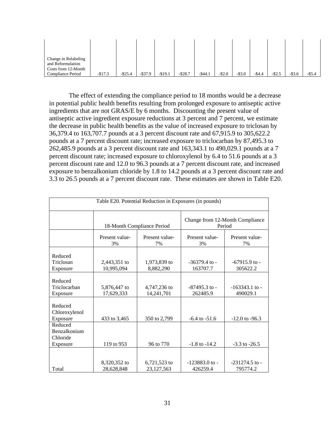| Change in Relabeling<br>and Reformulation<br>Costs from 12-Month |          |            |            |          |          |          |         |           |         |           |           |           |
|------------------------------------------------------------------|----------|------------|------------|----------|----------|----------|---------|-----------|---------|-----------|-----------|-----------|
| Compliance Period                                                | $-$17.3$ | $-$ \$25.4 | $-$ \$37.9 | $-$19.1$ | $-$28.7$ | $-544.1$ | $-$2.0$ | $-$ \$3.0 | $-54.4$ | $-$ \$2.5 | $-$ \$3.6 | $-$ \$5.4 |

The effect of extending the compliance period to 18 months would be a decrease in potential public health benefits resulting from prolonged exposure to antiseptic active ingredients that are not GRAS/E by 6 months. Discounting the present value of antiseptic active ingredient exposure reductions at 3 percent and 7 percent, we estimate the decrease in public health benefits as the value of increased exposure to triclosan by 36,379.4 to 163,707.7 pounds at a 3 percent discount rate and 67,915.9 to 305,622.2 pounds at a 7 percent discount rate; increased exposure to triclocarban by 87,495.3 to 262,485.9 pounds at a 3 percent discount rate and 163,343.1 to 490,029.1 pounds at a 7 percent discount rate; increased exposure to chloroxylenol by 6.4 to 51.6 pounds at a 3 percent discount rate and 12.0 to 96.3 pounds at a 7 percent discount rate, and increased exposure to benzalkonium chloride by 1.8 to 14.2 pounds at a 3 percent discount rate and 3.3 to 26.5 pounds at a 7 percent discount rate. These estimates are shown in Table E20.

|                                                 |                            | Table E20. Potential Reduction in Exposures (in pounds) |                                           |                                |  |  |
|-------------------------------------------------|----------------------------|---------------------------------------------------------|-------------------------------------------|--------------------------------|--|--|
|                                                 |                            | 18-Month Compliance Period                              | Change from 12-Month Compliance<br>Period |                                |  |  |
|                                                 | Present value-<br>3%       | Present value-<br>7%                                    | Present value-<br>3%                      | Present value-<br>7%           |  |  |
| Reduced<br>Triclosan<br>Exposure                | 2,443,351 to<br>10,995,094 | 1,973,839 to<br>8,882,290                               | $-36379.4$ to $-$<br>163707.7             | $-67915.9$ to $-$<br>305622.2  |  |  |
| Reduced<br>Triclocarban<br>Exposure             | 5,876,447 to<br>17,629,333 | 4,747,236 to<br>14,241,701                              | $-87495.3$ to $-$<br>262485.9             | $-163343.1$ to $-$<br>490029.1 |  |  |
| Reduced<br>Chloroxylenol<br>Exposure            | 433 to 3,465               | 350 to 2,799                                            | $-6.4$ to $-51.6$                         | $-12.0$ to $-96.3$             |  |  |
| Reduced<br>Benzalkonium<br>Chloride<br>Exposure | 119 to 953                 | 96 to 770                                               | $-1.8$ to $-14.2$                         | $-3.3$ to $-26.5$              |  |  |
| Total                                           | 8,320,352 to<br>28,628,848 | 6,721,523 to<br>23,127,563                              | $-123883.0$ to $-$<br>426259.4            | $-231274.5$ to $-$<br>795774.2 |  |  |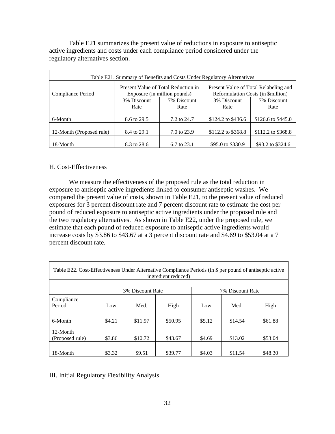Table E21 summarizes the present value of reductions in exposure to antiseptic active ingredients and costs under each compliance period considered under the regulatory alternatives section.

| Table E21. Summary of Benefits and Costs Under Regulatory Alternatives |             |                                                                     |                                                                             |                    |  |  |  |  |  |
|------------------------------------------------------------------------|-------------|---------------------------------------------------------------------|-----------------------------------------------------------------------------|--------------------|--|--|--|--|--|
| Compliance Period                                                      |             | Present Value of Total Reduction in<br>Exposure (in million pounds) | Present Value of Total Relabeling and<br>Reformulation Costs (in \$million) |                    |  |  |  |  |  |
|                                                                        | 3% Discount | 7% Discount                                                         | 3% Discount                                                                 | 7% Discount        |  |  |  |  |  |
|                                                                        | Rate        | Rate                                                                | Rate                                                                        | Rate               |  |  |  |  |  |
|                                                                        |             |                                                                     |                                                                             |                    |  |  |  |  |  |
| 6-Month                                                                | 8.6 to 29.5 | 7.2 to 24.7                                                         | \$124.2 to \$436.6                                                          | \$126.6 to \$445.0 |  |  |  |  |  |
|                                                                        |             |                                                                     |                                                                             |                    |  |  |  |  |  |
| 12-Month (Proposed rule)                                               | 8.4 to 29.1 | 7.0 to 23.9                                                         | \$112.2 to \$368.8                                                          | \$112.2 to \$368.8 |  |  |  |  |  |
|                                                                        |             |                                                                     |                                                                             |                    |  |  |  |  |  |
| 18-Month                                                               | 8.3 to 28.6 | 6.7 to 23.1                                                         | \$95.0 to \$330.9                                                           | \$93.2 to \$324.6  |  |  |  |  |  |

## H. Cost-Effectiveness

We measure the effectiveness of the proposed rule as the total reduction in exposure to antiseptic active ingredients linked to consumer antiseptic washes. We compared the present value of costs, shown in Table E21, to the present value of reduced exposures for 3 percent discount rate and 7 percent discount rate to estimate the cost per pound of reduced exposure to antiseptic active ingredients under the proposed rule and the two regulatory alternatives. As shown in Table E22, under the proposed rule, we estimate that each pound of reduced exposure to antiseptic active ingredients would increase costs by \$3.86 to \$43.67 at a 3 percent discount rate and \$4.69 to \$53.04 at a 7 percent discount rate.

| Table E22. Cost-Effectiveness Under Alternative Compliance Periods (in \$ per pound of antiseptic active |        |                                      | ingredient reduced) |        |         |         |  |  |  |  |  |  |
|----------------------------------------------------------------------------------------------------------|--------|--------------------------------------|---------------------|--------|---------|---------|--|--|--|--|--|--|
|                                                                                                          |        |                                      |                     |        |         |         |  |  |  |  |  |  |
|                                                                                                          |        | 3% Discount Rate<br>7% Discount Rate |                     |        |         |         |  |  |  |  |  |  |
| Compliance<br>Period                                                                                     | Low    | Med.                                 | High                | Low    | Med.    | High    |  |  |  |  |  |  |
| 6-Month                                                                                                  | \$4.21 | \$11.97                              | \$50.95             | \$5.12 | \$14.54 | \$61.88 |  |  |  |  |  |  |
| 12-Month<br>(Proposed rule)                                                                              | \$3.86 | \$10.72                              | \$43.67             | \$4.69 | \$13.02 | \$53.04 |  |  |  |  |  |  |
| 18-Month                                                                                                 | \$3.32 | \$9.51                               | \$39.77             | \$4.03 | \$11.54 | \$48.30 |  |  |  |  |  |  |

## III. Initial Regulatory Flexibility Analysis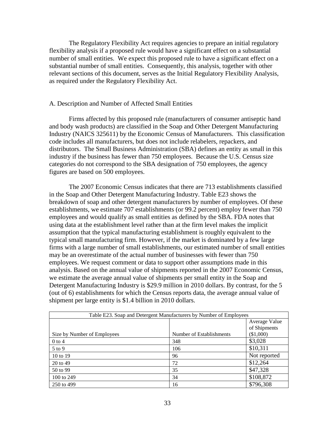The Regulatory Flexibility Act requires agencies to prepare an initial regulatory flexibility analysis if a proposed rule would have a significant effect on a substantial number of small entities. We expect this proposed rule to have a significant effect on a substantial number of small entities. Consequently, this analysis, together with other relevant sections of this document, serves as the Initial Regulatory Flexibility Analysis, as required under the Regulatory Flexibility Act.

## A. Description and Number of Affected Small Entities

Firms affected by this proposed rule (manufacturers of consumer antiseptic hand and body wash products) are classified in the Soap and Other Detergent Manufacturing Industry (NAICS 325611) by the Economic Census of Manufacturers. This classification code includes all manufacturers, but does not include relabelers, repackers, and distributors. The Small Business Administration (SBA) defines an entity as small in this industry if the business has fewer than 750 employees. Because the U.S. Census size categories do not correspond to the SBA designation of 750 employees, the agency figures are based on 500 employees.

The 2007 Economic Census indicates that there are 713 establishments classified in the Soap and Other Detergent Manufacturing Industry. Table E23 shows the breakdown of soap and other detergent manufacturers by number of employees. Of these establishments, we estimate 707 establishments (or 99.2 percent) employ fewer than 750 employees and would qualify as small entities as defined by the SBA. FDA notes that using data at the establishment level rather than at the firm level makes the implicit assumption that the typical manufacturing establishment is roughly equivalent to the typical small manufacturing firm. However, if the market is dominated by a few large firms with a large number of small establishments, our estimated number of small entities may be an overestimate of the actual number of businesses with fewer than 750 employees. We request comment or data to support other assumptions made in this analysis. Based on the annual value of shipments reported in the 2007 Economic Census, we estimate the average annual value of shipments per small entity in the Soap and Detergent Manufacturing Industry is \$29.9 million in 2010 dollars. By contrast, for the 5 (out of 6) establishments for which the Census reports data, the average annual value of shipment per large entity is \$1.4 billion in 2010 dollars.

| Table E23. Soap and Detergent Manufacturers by Number of Employees |                          |              |  |  |  |  |  |  |  |
|--------------------------------------------------------------------|--------------------------|--------------|--|--|--|--|--|--|--|
|                                                                    | Average Value            |              |  |  |  |  |  |  |  |
|                                                                    |                          | of Shipments |  |  |  |  |  |  |  |
| Size by Number of Employees                                        | Number of Establishments | (\$1,000)    |  |  |  |  |  |  |  |
| $0$ to 4                                                           | 348                      | \$3,028      |  |  |  |  |  |  |  |
| $5$ to $9$                                                         | 106                      | \$10,311     |  |  |  |  |  |  |  |
| 10 to 19                                                           | 96                       | Not reported |  |  |  |  |  |  |  |
| 20 to 49                                                           | 72                       | \$12,264     |  |  |  |  |  |  |  |
| 50 to 99                                                           | 35                       | \$47,328     |  |  |  |  |  |  |  |
| 100 to 249                                                         | 34                       | \$108,872    |  |  |  |  |  |  |  |
| 250 to 499                                                         | 16                       | \$796,308    |  |  |  |  |  |  |  |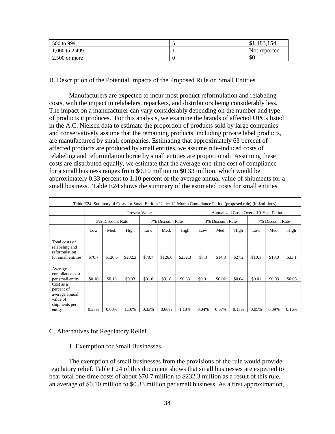| 500 to 999      | $\sim$ | \$1,483,154  |
|-----------------|--------|--------------|
| 1,000 to 2,499  |        | Not reported |
| $2,500$ or more |        | \$0          |

B. Description of the Potential Impacts of the Proposed Rule on Small Entities

Manufacturers are expected to incur most product reformulation and relabeling costs, with the impact to relabelers, repackers, and distributors being considerably less. The impact on a manufacturer can vary considerably depending on the number and type of products it produces. For this analysis, we examine the brands of affected UPCs listed in the A.C. Nielsen data to estimate the proportion of products sold by large companies and conservatively assume that the remaining products, including private label products, are manufactured by small companies. Estimating that approximately 63 percent of affected products are produced by small entities, we assume rule-induced costs of relabeling and reformulation borne by small entities are proportional. Assuming these costs are distributed equally, we estimate that the average one-time cost of compliance for a small business ranges from \$0.10 million to \$0.33 million, which would be approximately 0.33 percent to 1.10 percent of the average annual value of shipments for a small business. Table E24 shows the summary of the estimated costs for small entities.

|                                                                                  |        |                  |         |                      | Table E24. Summary of Costs for Small Entities Under 12-Month Compliance Period (proposed rule) (in \$millions) |         |                                        |        |        |                  |        |        |
|----------------------------------------------------------------------------------|--------|------------------|---------|----------------------|-----------------------------------------------------------------------------------------------------------------|---------|----------------------------------------|--------|--------|------------------|--------|--------|
|                                                                                  |        |                  |         | <b>Present Value</b> |                                                                                                                 |         | Annualized Costs Over a 10-Year Period |        |        |                  |        |        |
|                                                                                  |        | 3% Discount Rate |         |                      | 7% Discount Rate                                                                                                |         | 3% Discount Rate                       |        |        | 7% Discount Rate |        |        |
|                                                                                  | Low    | Med.             | High    | Low                  | Med.                                                                                                            | High    | Low                                    | Med.   | High   | Low              | Med.   | High   |
| Total costs of<br>relabeling and<br>reformulation<br>for small entities          | \$70.7 | \$126.6          | \$232.3 | \$70.7               | \$126.6                                                                                                         | \$232.3 | \$8.3                                  | \$14.8 | \$27.2 | \$10.1           | \$18.0 | \$33.1 |
| Average<br>compliance cost<br>per small entity                                   | \$0.10 | \$0.18           | \$0.33  | \$0.10               | \$0.18                                                                                                          | \$0.33  | \$0.01                                 | \$0.02 | \$0.04 | \$0.01           | \$0.03 | \$0.05 |
| Cost as a<br>percent of<br>average annual<br>value of<br>shipments per<br>entity | 0.33%  | 0.60%            | 1.10%   | 0.33%                | 0.60%                                                                                                           | 1.10%   | 0.04%                                  | 0.07%  | 0.13%  | 0.05%            | 0.09%  | 0.16%  |

## C. Alternatives for Regulatory Relief

## 1. Exemption for Small Businesses

The exemption of small businesses from the provisions of the rule would provide regulatory relief. Table E24 of this document shows that small businesses are expected to bear total one-time costs of about \$70.7 million to \$232.3 million as a result of this rule, an average of \$0.10 million to \$0.33 million per small business. As a first approximation,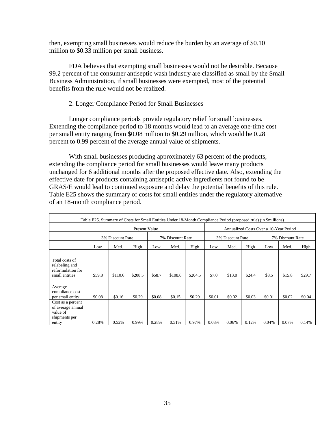then, exempting small businesses would reduce the burden by an average of \$0.10 million to \$0.33 million per small business.

FDA believes that exempting small businesses would not be desirable. Because 99.2 percent of the consumer antiseptic wash industry are classified as small by the Small Business Administration, if small businesses were exempted, most of the potential benefits from the rule would not be realized.

## 2. Longer Compliance Period for Small Businesses

Longer compliance periods provide regulatory relief for small businesses. Extending the compliance period to 18 months would lead to an average one-time cost per small entity ranging from \$0.08 million to \$0.29 million, which would be 0.28 percent to 0.99 percent of the average annual value of shipments.

With small businesses producing approximately 63 percent of the products, extending the compliance period for small businesses would leave many products unchanged for 6 additional months after the proposed effective date. Also, extending the effective date for products containing antiseptic active ingredients not found to be GRAS/E would lead to continued exposure and delay the potential benefits of this rule. Table E25 shows the summary of costs for small entities under the regulatory alternative of an 18-month compliance period.

|                                                                               | Table E25. Summary of Costs for Small Entities Under 18-Month Compliance Period (proposed rule) (in \$millions) |         |                      |                  |         |         |                                        |        |        |                  |        |        |
|-------------------------------------------------------------------------------|-----------------------------------------------------------------------------------------------------------------|---------|----------------------|------------------|---------|---------|----------------------------------------|--------|--------|------------------|--------|--------|
|                                                                               |                                                                                                                 |         | <b>Present Value</b> |                  |         |         | Annualized Costs Over a 10-Year Period |        |        |                  |        |        |
|                                                                               | 3% Discount Rate                                                                                                |         |                      | 7% Discount Rate |         |         | 3% Discount Rate                       |        |        | 7% Discount Rate |        |        |
|                                                                               | Low                                                                                                             | Med.    | High                 | Low              | Med.    | High    | Low                                    | Med.   | High   | Low              | Med.   | High   |
| Total costs of<br>relabeling and<br>reformulation for<br>small entities       | \$59.8                                                                                                          | \$110.6 | \$208.5              | \$58.7           | \$108.6 | \$204.5 | \$7.0                                  | \$13.0 | \$24.4 | \$8.5            | \$15.8 | \$29.7 |
| Average<br>compliance cost<br>per small entity                                | \$0.08                                                                                                          | \$0.16  | \$0.29               | \$0.08           | \$0.15  | \$0.29  | \$0.01                                 | \$0.02 | \$0.03 | \$0.01           | \$0.02 | \$0.04 |
| Cost as a percent<br>of average annual<br>value of<br>shipments per<br>entity | 0.28%                                                                                                           | 0.52%   | 0.99%                | 0.28%            | 0.51%   | 0.97%   | 0.03%                                  | 0.06%  | 0.12%  | 0.04%            | 0.07%  | 0.14%  |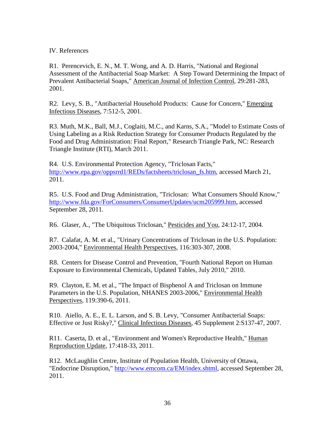## IV. References

R1. Perencevich, E. N., M. T. Wong, and A. D. Harris, "National and Regional Assessment of the Antibacterial Soap Market: A Step Toward Determining the Impact of Prevalent Antibacterial Soaps," American Journal of Infection Control, 29:281-283, 2001.

R2. Levy, S. B., "Antibacterial Household Products: Cause for Concern," Emerging Infectious Diseases, 7:512-5, 2001.

R3. Muth, M.K., Ball, M.J., Coglaiti, M.C., and Karns, S.A., "Model to Estimate Costs of Using Labeling as a Risk Reduction Strategy for Consumer Products Regulated by the Food and Drug Administration: Final Report," Research Triangle Park, NC: Research Triangle Institute (RTI), March 2011.

R4. U.S. Environmental Protection Agency, "Triclosan Facts," [http://www.epa.gov/oppsrrd1/REDs/factsheets/triclosan\\_fs.htm,](http://www.epa.gov/oppsrrd1/REDs/factsheets/triclosan_fs.htm) accessed March 21, 2011.

R5. U.S. Food and Drug Administration, "Triclosan: What Consumers Should Know," [http://www.fda.gov/ForConsumers/ConsumerUpdates/ucm205999.htm,](http://www.fda.gov/ForConsumers/ConsumerUpdates/ucm205999.htm) accessed September 28, 2011.

R6. Glaser, A., "The Ubiquitous Triclosan," Pesticides and You, 24:12-17, 2004.

R7. Calafat, A. M. et al., "Urinary Concentrations of Triclosan in the U.S. Population: 2003-2004," Environmental Health Perspectives, 116:303-307, 2008.

R8. Centers for Disease Control and Prevention, "Fourth National Report on Human Exposure to Environmental Chemicals, Updated Tables, July 2010," 2010.

R9. Clayton, E. M. et al., "The Impact of Bisphenol A and Triclosan on Immune Parameters in the U.S. Population, NHANES 2003-2006," Environmental Health Perspectives, 119:390-6, 2011.

R10. Aiello, A. E., E. L. Larson, and S. B. Levy, "Consumer Antibacterial Soaps: Effective or Just Risky?," Clinical Infectious Diseases, 45 Supplement 2:S137-47, 2007.

R11. Caserta, D. et al., "Environment and Women's Reproductive Health," Human Reproduction Update, 17:418-33, 2011.

R12. McLaughlin Centre, Institute of Population Health, University of Ottawa, "Endocrine Disruption," [http://www.emcom.ca/EM/index.shtml,](http://www.emcom.ca/EM/index.shtml) accessed September 28, 2011.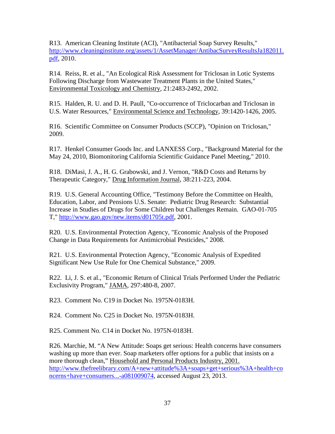R13. American Cleaning Institute (ACI), "Antibacterial Soap Survey Results," [http://www.cleaninginstitute.org/assets/1/AssetManager/AntibacSurveyResultsJa182011.](http://www.cleaninginstitute.org/assets/1/AssetManager/AntibacSurveyResultsJa182011.pdf) [pdf,](http://www.cleaninginstitute.org/assets/1/AssetManager/AntibacSurveyResultsJa182011.pdf) 2010.

R14. Reiss, R. et al., "An Ecological Risk Assessment for Triclosan in Lotic Systems Following Discharge from Wastewater Treatment Plants in the United States," Environmental Toxicology and Chemistry, 21:2483-2492, 2002.

R15. Halden, R. U. and D. H. Paull, "Co-occurrence of Triclocarban and Triclosan in U.S. Water Resources," Environmental Science and Technology, 39:1420-1426, 2005.

R16. Scientific Committee on Consumer Products (SCCP), "Opinion on Triclosan," 2009.

R17. Henkel Consumer Goods Inc. and LANXESS Corp., "Background Material for the May 24, 2010, Biomonitoring California Scientific Guidance Panel Meeting," 2010.

R18. DiMasi, J. A., H. G. Grabowski, and J. Vernon, "R&D Costs and Returns by Therapeutic Category," Drug Information Journal, 38:211-223, 2004.

R19. U.S. General Accounting Office, "Testimony Before the Committee on Health, Education, Labor, and Pensions U.S. Senate: Pediatric Drug Research: Substantial Increase in Studies of Drugs for Some Children but Challenges Remain. GAO-01-705 T," [http://www.gao.gov/new.items/d01705t.pdf,](http://www.gao.gov/new.items/d01705t.pdf) 2001.

R20. U.S. Environmental Protection Agency, "Economic Analysis of the Proposed Change in Data Requirements for Antimicrobial Pesticides," 2008.

R21. U.S. Environmental Protection Agency, "Economic Analysis of Expedited Significant New Use Rule for One Chemical Substance," 2009.

R22. Li, J. S. et al., "Economic Return of Clinical Trials Performed Under the Pediatric Exclusivity Program," JAMA, 297:480-8, 2007.

R23. Comment No. C19 in Docket No. 1975N-0183H.

R24. Comment No. C25 in Docket No. 1975N-0183H.

R25. Comment No. C14 in Docket No. 1975N-0183H.

R26. Marchie, M. "A New Attitude: Soaps get serious: Health concerns have consumers washing up more than ever. Soap marketers offer options for a public that insists on a more thorough clean," Household and Personal Products Industry, 2001. [http://www.thefreelibrary.com/A+new+attitude%3A+soaps+get+serious%3A+health+co](http://www.thefreelibrary.com/A+new+attitude%3A+soaps+get+serious%3A+health+concerns+have+consumers...-a081009074) [ncerns+have+consumers...-a081009074,](http://www.thefreelibrary.com/A+new+attitude%3A+soaps+get+serious%3A+health+concerns+have+consumers...-a081009074) accessed August 23, 2013.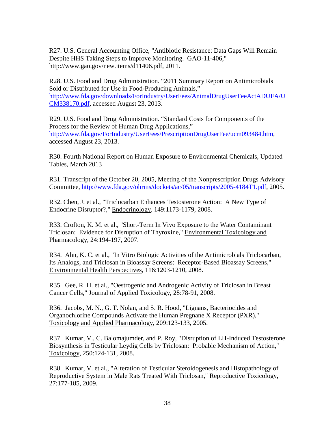R27. U.S. General Accounting Office, "Antibiotic Resistance: Data Gaps Will Remain Despite HHS Taking Steps to Improve Monitoring. GAO-11-406," http://www.gao.gov/new.items/d11406.pdf, 2011.

R28. U.S. Food and Drug Administration. "2011 Summary Report on Antimicrobials Sold or Distributed for Use in Food-Producing Animals," [http://www.fda.gov/downloads/ForIndustry/UserFees/AnimalDrugUserFeeActADUFA/U](http://www.fda.gov/downloads/ForIndustry/UserFees/AnimalDrugUserFeeActADUFA/UCM338170.pdf) [CM338170.pdf,](http://www.fda.gov/downloads/ForIndustry/UserFees/AnimalDrugUserFeeActADUFA/UCM338170.pdf) accessed August 23, 2013.

R29. U.S. Food and Drug Administration. "Standard Costs for Components of the Process for the Review of Human Drug Applications," [http://www.fda.gov/ForIndustry/UserFees/PrescriptionDrugUserFee/ucm093484.htm,](http://www.fda.gov/ForIndustry/UserFees/PrescriptionDrugUserFee/ucm093484.htm) accessed August 23, 2013.

R30. Fourth National Report on Human Exposure to Environmental Chemicals, Updated Tables, March 2013

R31. Transcript of the October 20, 2005, Meeting of the Nonprescription Drugs Advisory Committee, [http://www.fda.gov/ohrms/dockets/ac/05/transcripts/2005-4184T1.pdf,](http://www.fda.gov/ohrms/dockets/ac/05/transcripts/2005-4184T1.pdf) 2005.

R32. Chen, J. et al., "Triclocarban Enhances Testosterone Action: A New Type of Endocrine Disruptor?," Endocrinology, 149:1173-1179, 2008.

R33. Crofton, K. M. et al., "Short-Term In Vivo Exposure to the Water Contaminant Triclosan: Evidence for Disruption of Thyroxine," Environmental Toxicology and Pharmacology, 24:194-197, 2007.

R34. Ahn, K. C. et al., "In Vitro Biologic Activities of the Antimicrobials Triclocarban, Its Analogs, and Triclosan in Bioassay Screens: Receptor-Based Bioassay Screens," Environmental Health Perspectives, 116:1203-1210, 2008.

R35. Gee, R. H. et al., "Oestrogenic and Androgenic Activity of Triclosan in Breast Cancer Cells," Journal of Applied Toxicology, 28:78-91, 2008.

R36. Jacobs, M. N., G. T. Nolan, and S. R. Hood, "Lignans, Bacteriocides and Organochlorine Compounds Activate the Human Pregnane X Receptor (PXR)," Toxicology and Applied Pharmacology, 209:123-133, 2005.

R37. Kumar, V., C. Balomajumder, and P. Roy, "Disruption of LH-Induced Testosterone Biosynthesis in Testicular Leydig Cells by Triclosan: Probable Mechanism of Action," Toxicology, 250:124-131, 2008.

R38. Kumar, V. et al., "Alteration of Testicular Steroidogenesis and Histopathology of Reproductive System in Male Rats Treated With Triclosan," Reproductive Toxicology, 27:177-185, 2009.